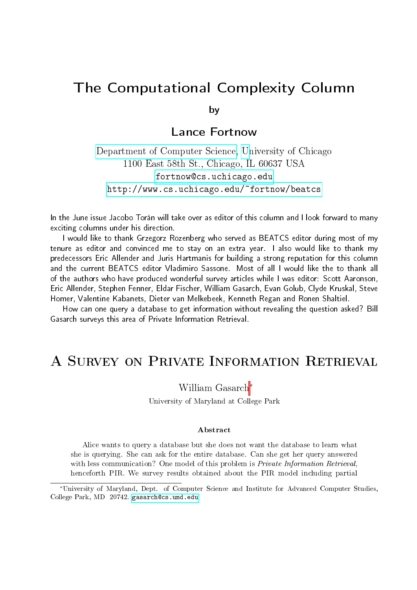# The Computational Complexity Column

by

### Lance Fortnow

[Department of Computer Science,](http://www.cs.uchicago.edu/) [Un](http://www.uchicago.edu)iversity of Chicago 1100 East 58th St., Chicago, IL 60637 USA <fortnow@cs.uchicago.edu> <http://www.cs.uchicago.edu/~fortnow/beatcs>

In the June issue Jacobo Torán will take over as editor of this column and I look forward to many exciting columns under his direction.

I would like to thank Grzegorz Rozenberg who served as BEATCS editor during most of my tenure as editor and convinced me to stay on an extra year. I also would like to thank my predecessors Eric Allender and Juris Hartmanis for building a strong reputation for this column and the current BEATCS editor Vladimiro Sassone. Most of all I would like the to thank all of the authors who have produced wonderful survey articles while I was editor: Scott Aaronson, Eric Allender, Stephen Fenner, Eldar Fischer, William Gasarch, Evan Golub, Clyde Kruskal, Steve Homer, Valentine Kabanets, Dieter van Melkebeek, Kenneth Regan and Ronen Shaltiel.

How can one query a database to get information without revealing the question asked? Bill Gasarch surveys this area of Private Information Retrieval.

# A Survey on Private Information Retrieval

William Gasarch<sup>∗</sup>

University of Maryland at College Park

#### Abstract

Alice wants to query a database but she does not want the database to learn what she is querying. She can ask for the entire database. Can she get her query answered with less communication? One model of this problem is *Private Information Retrieval*, henceforth PIR. We survey results obtained about the PIR model including partial

<sup>∗</sup>University of Maryland, Dept. of Computer Science and Institute for Advanced Computer Studies, College Park, MD 20742. <gasarch@cs.umd.edu>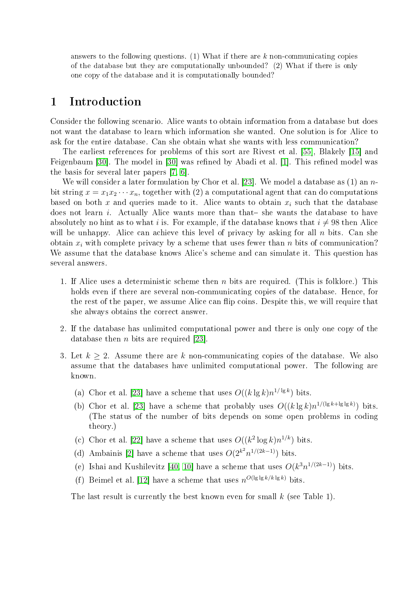answers to the following questions. (1) What if there are  $k$  non-communicating copies of the database but they are computationally unbounded? (2) What if there is only one copy of the database and it is computationally bounded?

## 1 Introduction

Consider the following scenario. Alice wants to obtain information from a database but does not want the database to learn which information she wanted. One solution is for Alice to ask for the entire database. Can she obtain what she wants with less communication?

The earliest references for problems of this sort are Rivest et al. [\[55\]](#page-30-0), Blakely [\[15\]](#page-28-0) and Feigenbaum [\[30\]](#page-28-1). The model in [30] was refined by Abadi et al. [\[1\]](#page-27-0). This refined model was the basis for several later papers [\[7,](#page-27-1) [6\]](#page-27-2).

We will consider a later formulation by Chor et al. [\[23\]](#page-28-2). We model a database as  $(1)$  an nbit string  $x = x_1x_2 \cdots x_n$ , together with (2) a computational agent that can do computations based on both x and queries made to it. Alice wants to obtain  $x_i$  such that the database does not learn  $i$ . Actually Alice wants more than that-she wants the database to have absolutely no hint as to what i is. For example, if the database knows that  $i \neq 98$  then Alice will be unhappy. Alice can achieve this level of privacy by asking for all  $n$  bits. Can she obtain  $x_i$  with complete privacy by a scheme that uses fewer than n bits of communication? We assume that the database knows Alice's scheme and can simulate it. This question has several answers.

- 1. If Alice uses a deterministic scheme then  $n$  bits are required. (This is folklore.) This holds even if there are several non-communicating copies of the database. Hence, for the rest of the paper, we assume Alice can flip coins. Despite this, we will require that she always obtains the correct answer.
- 2. If the database has unlimited computational power and there is only one copy of the database then *n* bits are required [\[23\]](#page-28-2).
- 3. Let  $k \geq 2$ . Assume there are k non-communicating copies of the database. We also assume that the databases have unlimited computational power. The following are known.
	- (a) Chor et al. [\[23\]](#page-28-2) have a scheme that uses  $O((k \lg k) n^{1/\lg k})$  bits.
	- (b) Chor et al. [\[23\]](#page-28-2) have a scheme that probably uses  $O((k \lg k) n^{1/(\lg k + \lg \lg k)})$  bits. (The status of the number of bits depends on some open problems in coding theory.)
	- (c) Chor et al. [\[22\]](#page-28-3) have a scheme that uses  $O((k^2 \log k) n^{1/k})$  bits.
	- (d) Ambainis [\[2\]](#page-27-3) have a scheme that uses  $O(2^{k^2}n^{1/(2k-1)})$  bits.
	- (e) Ishai and Kushilevitz [\[40,](#page-29-0) [10\]](#page-27-4) have a scheme that uses  $O(k^3 n^{1/(2k-1)})$  bits.
	- (f) Beimel et al. [\[12\]](#page-27-5) have a scheme that uses  $n^{O(\lg\lg k/k\lg k)}$  bits.

The last result is currently the best known even for small  $k$  (see Table 1).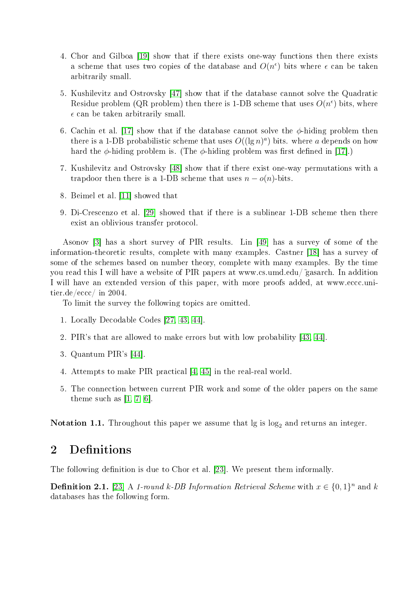- 4. Chor and Gilboa [\[19\]](#page-28-4) show that if there exists one-way functions then there exists a scheme that uses two copies of the database and  $O(n^{\epsilon})$  bits where  $\epsilon$  can be taken arbitrarily small.
- 5. Kushilevitz and Ostrovsky [\[47\]](#page-29-1) show that if the database cannot solve the Quadratic Residue problem (QR problem) then there is 1-DB scheme that uses  $O(n^{\epsilon})$  bits, where  $\epsilon$  can be taken arbitrarily small.
- 6. Cachin et al. [\[17\]](#page-28-5) show that if the database cannot solve the  $\phi$ -hiding problem then there is a 1-DB probabilistic scheme that uses  $O((\lg n)^a)$  bits. where a depends on how hard the  $\phi$ -hiding problem is. (The  $\phi$ -hiding problem was first defined in [\[17\]](#page-28-5).)
- 7. Kushilevitz and Ostrovsky [\[48\]](#page-29-2) show that if there exist one-way permutations with a trapdoor then there is a 1-DB scheme that uses  $n - o(n)$ -bits.
- 8. Beimel et al. [\[11\]](#page-27-6) showed that
- 9. Di-Crescenzo et al. [\[29\]](#page-28-6) showed that if there is a sublinear 1-DB scheme then there exist an oblivious transfer protocol.

Asonov [\[3\]](#page-27-7) has a short survey of PIR results. Lin [\[49\]](#page-30-1) has a survey of some of the information-theoretic results, complete with many examples. Castner [\[18\]](#page-28-7) has a survey of some of the schemes based on number theory, complete with many examples. By the time you read this I will have a website of PIR papers at www.cs.umd.edu/˜gasarch. In addition I will have an extended version of this paper, with more proofs added, at www.eccc.unitier.de/eccc/ in 2004.

To limit the survey the following topics are omitted.

- 1. Locally Decodable Codes [\[27,](#page-28-8) [43,](#page-29-3) [44\]](#page-29-4).
- 2. PIR's that are allowed to make errors but with low probability [\[43,](#page-29-3) [44\]](#page-29-4).
- 3. Quantum PIR's [\[44\]](#page-29-4).
- 4. Attempts to make PIR practical [\[4,](#page-27-8) [45\]](#page-29-5) in the real-real world.
- 5. The connection between current PIR work and some of the older papers on the same theme such as  $[1, 7, 6]$  $[1, 7, 6]$  $[1, 7, 6]$ .

Notation 1.1. Throughout this paper we assume that  $\lg$  is  $\log_2$  and returns an integer.

# 2 Definitions

The following definition is due to Chor et al. [\[23\]](#page-28-2). We present them informally.

**Definition 2.1.** [\[23\]](#page-28-2) A 1-round k-DB Information Retrieval Scheme with  $x \in \{0,1\}^n$  and k databases has the following form.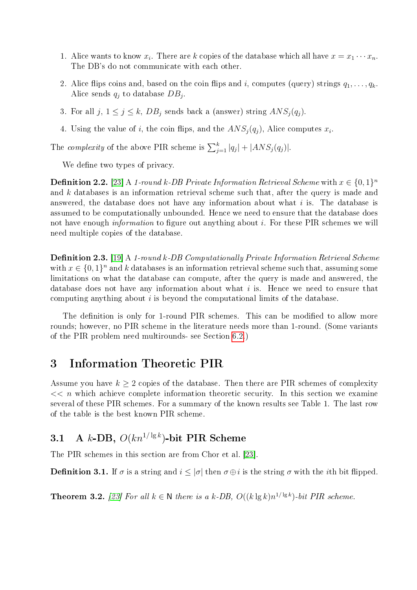- 1. Alice wants to know  $x_i$ . There are k copies of the database which all have  $x = x_1 \cdots x_n$ . The DB's do not communicate with each other.
- 2. Alice flips coins and, based on the coin flips and i, computes (query) strings  $q_1, \ldots, q_k$ . Alice sends  $q_j$  to database  $DB_j$ .
- 3. For all  $j, 1 \leq j \leq k$ ,  $DB_j$  sends back a (answer) string  $ANS_j(q_j)$ .
- 4. Using the value of i, the coin flips, and the  $ANS_j(q_j)$ , Alice computes  $x_i$ .

The *complexity* of the above PIR scheme is  $\sum_{j=1}^{k} |q_j| + |ANS_j(q_j)|$ .

We define two types of privacy.

**Definition 2.2.** [\[23\]](#page-28-2) A 1-round k-DB Private Information Retrieval Scheme with  $x \in \{0,1\}^n$ and k databases is an information retrieval scheme such that, after the query is made and answered, the database does not have any information about what i is. The database is assumed to be computationally unbounded. Hence we need to ensure that the database does not have enough *information* to figure out anything about i. For these PIR schemes we will need multiple copies of the database.

**Definition 2.3.** [\[19\]](#page-28-4) A 1-round k-DB Computationally Private Information Retrieval Scheme with  $x \in \{0,1\}^n$  and k databases is an information retrieval scheme such that, assuming some limitations on what the database can compute, after the query is made and answered, the database does not have any information about what  $i$  is. Hence we need to ensure that computing anything about i is beyond the computational limits of the database.

The definition is only for 1-round PIR schemes. This can be modified to allow more rounds; however, no PIR scheme in the literature needs more than 1-round. (Some variants of the PIR problem need multirounds- see Section [6.2.](#page-16-0))

### <span id="page-3-1"></span>3 Information Theoretic PIR

Assume you have  $k \geq 2$  copies of the database. Then there are PIR schemes of complexity  $<< n$  which achieve complete information theoretic security. In this section we examine several of these PIR schemes. For a summary of the known results see Table 1. The last row of the table is the best known PIR scheme.

## 3.1 A k-DB,  $O(kn^{1/\lg k})$ -bit PIR Scheme

The PIR schemes in this section are from Chor et al. [\[23\]](#page-28-2).

**Definition 3.1.** If  $\sigma$  is a string and  $i \leq |\sigma|$  then  $\sigma \oplus i$  is the string  $\sigma$  with the *i*th bit flipped.

<span id="page-3-0"></span>**Theorem 3.2.** [\[23\]](#page-28-2) For all  $k \in \mathbb{N}$  there is a  $k$ -DB,  $O((k \lg k)n^{1/\lg k})$ -bit PIR scheme.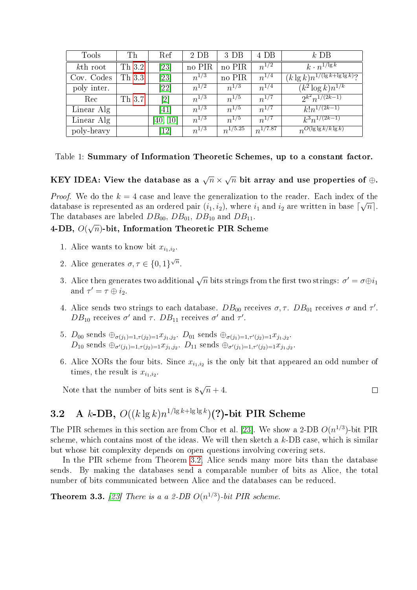| <b>Tools</b> | Th     | Ref                          | 2 <sub>D</sub> B | 3 <sub>D</sub> B | 4 DB         | $k$ DB                                  |
|--------------|--------|------------------------------|------------------|------------------|--------------|-----------------------------------------|
| $kth$ root   | Th 3.2 | [23]                         | no PIR           | no PIR           | $n^{1/2}$    | $k \cdot n^{1/\lg k}$                   |
| Cov. Codes   | Th 3.3 | [23]                         | $n^{1/3}$        | no PIR           | $n^{1/4}$    | $(k \lg k) n^{1/(\lg k + \lg \lg k)}$ ? |
| poly inter.  |        | $\left[ 22\right]$           | $n^{1/2}$        | $n^{1/3}$        | $n^{1/4}$    | $(k^2 \log k)n^{1/k}$                   |
| Rec          | Th 3.7 | $\left\lceil 2 \right\rceil$ | $n^{1/3}$        | $n^{1/5}$        | $n^{1/7}$    | $2^{k^2}n^{1/(2k-1)}$                   |
| Linear Alg   |        | 41                           | $n^{1/3}$        | $n^{1/5}$        | $n^{1/7}$    | $k!n^{1/(2k-1)}$                        |
| Linear Alg   |        | [40, 10]                     | $n^{1/3}$        | $n^{1/5}$        | $n^{1/7}$    | $k^3n^{\frac{1}{(2k-1)}}$               |
| poly-heavy   |        | $\left\lceil 12\right\rceil$ | $n^{1/3}$        | $n^{1/5.25}$     | $n^{1/7.87}$ | $n^{O(\lg\lg k/k\lg k)}$                |

| Table 1: Summary of Information Theoretic Schemes, up to a constant factor. |  |  |  |  |  |  |  |  |  |  |  |
|-----------------------------------------------------------------------------|--|--|--|--|--|--|--|--|--|--|--|
|-----------------------------------------------------------------------------|--|--|--|--|--|--|--|--|--|--|--|

KEY IDEA: View the database as a  $\sqrt{n}$   $\times$ √  $\overline{n}$  bit array and use properties of  $\oplus.$ 

*Proof.* We do the  $k = 4$  case and leave the generalization to the reader. Each index of the database is represented as an ordered pair  $(i_1, i_2),$  where  $i_1$  and  $i_2$  are written in base  $\lceil \sqrt{n} \rceil.$ The databases are labeled  $DB_{00}$ ,  $DB_{01}$ ,  $DB_{10}$  and  $DB_{11}$ .

#### 4-DB,  $O(\sqrt{n})$ -bit, Information Theoretic PIR Scheme

- 1. Alice wants to know bit  $x_{i_1,i_2}$ .
- 2. Alice generates  $\sigma, \tau \in \{0, 1\}^{\sqrt{n}}$ .
- 3. Alice then generates two additional  $\sqrt{n}$  bits strings from the first two strings:  $\sigma'=\sigma\oplus i_1$ and  $\tau' = \tau \oplus i_2$ .
- 4. Alice sends two strings to each database.  $DB_{00}$  receives  $\sigma, \tau$ .  $DB_{01}$  receives  $\sigma$  and  $\tau'$ . DB<sub>10</sub> receives  $\sigma'$  and  $\tau$ . DB<sub>11</sub> receives  $\sigma'$  and  $\tau'$ .
- 5.  $D_{00}$  sends  $\oplus_{\sigma(j_1)=1,\tau(j_2)=1}x_{j_1,j_2}$ .  $D_{01}$  sends  $\oplus_{\sigma(j_1)=1,\tau'(j_2)=1}x_{j_1,j_2}$ .  $D_{10}$  sends  $\oplus_{\sigma'(j_1)=1,\tau(j_2)=1}x_{j_1,j_2}$ .  $D_{11}$  sends  $\oplus_{\sigma'(j_1)=1,\tau'(j_2)=1}x_{j_1,j_2}$ .
- 6. Alice XORs the four bits. Since  $x_{i_1,i_2}$  is the only bit that appeared an odd number of times, the result is  $x_{i_1,i_2}$ .

Note that the number of bits sent is 8 √  $\overline{n}+4.$ 

# <span id="page-4-1"></span>3.2 A k-DB,  $O((k \lg k) n^{1/\lg k + \lg \lg k})$ (?)-bit PIR Scheme

The PIR schemes in this section are from Chor et al. [\[23\]](#page-28-2). We show a 2-DB  $O(n^{1/3})$ -bit PIR scheme, which contains most of the ideas. We will then sketch a k-DB case, which is similar but whose bit complexity depends on open questions involving covering sets.

In the PIR scheme from Theorem [3.2,](#page-3-0) Alice sends many more bits than the database sends. By making the databases send a comparable number of bits as Alice, the total number of bits communicated between Alice and the databases can be reduced.

<span id="page-4-0"></span>**Theorem 3.3.** [\[23\]](#page-28-2) There is a a 2-DB  $O(n^{1/3})$ -bit PIR scheme.

 $\Box$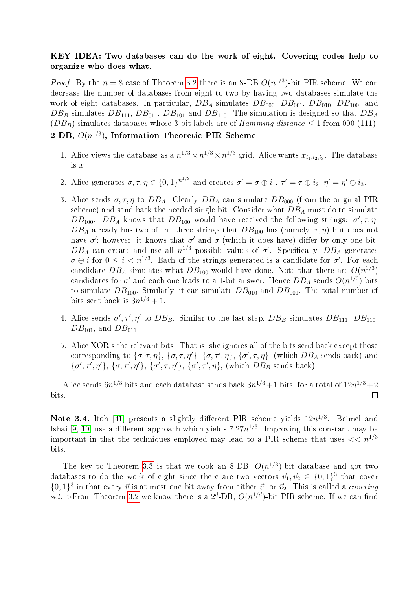#### KEY IDEA: Two databases can do the work of eight. Covering codes help to organize who does what.

*Proof.* By the  $n = 8$  case of Theorem [3.2](#page-3-0) there is an 8-DB  $O(n^{1/3})$ -bit PIR scheme. We can decrease the number of databases from eight to two by having two databases simulate the work of eight databases. In particular,  $DB_A$  simulates  $DB_{000}$ ,  $DB_{001}$ ,  $DB_{010}$ ,  $DB_{100}$ ; and  $DB_B$  simulates  $DB_{111}$ ,  $DB_{011}$ ,  $DB_{101}$  and  $DB_{110}$ . The simulation is designed so that  $DB_A$  $(DB_B)$  simulates databases whose 3-bit labels are of Hamming distance  $\leq 1$  from 000 (111). 2-DB,  $O(n^{1/3})$ , Information-Theoretic PIR Scheme

- 1. Alice views the database as a  $n^{1/3} \times n^{1/3} \times n^{1/3}$  grid. Alice wants  $x_{i_1,i_2,i_3}$ . The database is x.
- 2. Alice generates  $\sigma, \tau, \eta \in \{0,1\}^{n^{1/3}}$  and creates  $\sigma' = \sigma \oplus i_1, \tau' = \tau \oplus i_2, \eta' = \eta' \oplus i_3$ .
- 3. Alice sends  $\sigma, \tau, \eta$  to  $DB_A$ . Clearly  $DB_A$  can simulate  $DB_{000}$  (from the original PIR scheme) and send back the needed single bit. Consider what  $DB_A$  must do to simulate DB<sub>100</sub>. DB<sub>A</sub> knows that  $DB_{100}$  would have received the following strings:  $\sigma', \tau, \eta$ .  $DB_A$  already has two of the three strings that  $DB_{100}$  has (namely,  $\tau$ ,  $\eta$ ) but does not have  $\sigma'$ ; however, it knows that  $\sigma'$  and  $\sigma$  (which it does have) differ by only one bit. DB<sub>A</sub> can create and use all  $n^{1/3}$  possible values of  $\sigma'$ . Specifically, DB<sub>A</sub> generates  $\sigma \oplus i$  for  $0 \leq i < n^{1/3}$ . Each of the strings generated is a candidate for  $\sigma'$ . For each candidate  $DB_A$  simulates what  $DB_{100}$  would have done. Note that there are  $O(n^{1/3})$ candidates for  $\sigma'$  and each one leads to a 1-bit answer. Hence  $DB_A$  sends  $O(n^{1/3})$  bits to simulate  $DB_{100}$ . Similarly, it can simulate  $DB_{010}$  and  $DB_{001}$ . The total number of bits sent back is  $3n^{1/3} + 1$ .
- 4. Alice sends  $\sigma', \tau', \eta'$  to  $DB_B$ . Similar to the last step,  $DB_B$  simulates  $DB_{111}$ ,  $DB_{110}$ ,  $DB_{101}$ , and  $DB_{011}$ .
- 5. Alice XOR's the relevant bits. That is, she ignores all of the bits send back except those corresponding to  $\{\sigma, \tau, \eta\}$ ,  $\{\sigma, \tau, \eta'\}$ ,  $\{\sigma, \tau', \eta\}$ ,  $\{\sigma', \tau, \eta\}$ , (which  $DB_A$  sends back) and  $\{\sigma', \tau', \eta'\}, \{\sigma, \tau', \eta'\}, \{\sigma', \tau, \eta'\}, \{\sigma', \tau', \eta\}, \text{ (which } DB_B \text{ sends back)}.$

Alice sends  $6n^{1/3}$  bits and each database sends back  $3n^{1/3}+1$  bits, for a total of  $12n^{1/3}+2$ bits.  $\Box$ 

Note 3.4. Itoh [\[41\]](#page-29-6) presents a slightly different PIR scheme yields  $12n^{1/3}$ . Beimel and Ishai [\[9,](#page-27-9) [10\]](#page-27-4) use a different approach which yields  $7.27n^{1/3}$ . Improving this constant may be important in that the techniques employed may lead to a PIR scheme that uses  $<< n^{1/3}$ bits.

The key to Theorem [3.3](#page-4-0) is that we took an 8-DB,  $O(n^{1/3})$ -bit database and got two databases to do the work of eight since there are two vectors  $\vec{v}_1, \vec{v}_2 \in \{0, 1\}^3$  that cover  $\{0,1\}^3$  in that every  $\vec{v}$  is at most one bit away from either  $\vec{v}_1$  or  $\vec{v}_2$ . This is called a *covering* set. >From Theorem [3.2](#page-3-0) we know there is a  $2^d$ -DB,  $O(n^{1/d})$ -bit PIR scheme. If we can find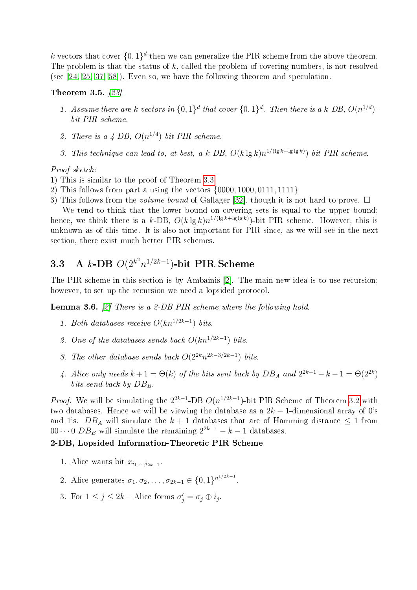k vectors that cover  $\{0,1\}^d$  then we can generalize the PIR scheme from the above theorem. The problem is that the status of  $k$ , called the problem of covering numbers, is not resolved (see [\[24,](#page-28-9) [25,](#page-28-10) [37,](#page-29-7) [58\]](#page-30-2)). Even so, we have the following theorem and speculation.

#### Theorem 3.5. [\[23\]](#page-28-2)

- 1. Assume there are k vectors in  $\{0,1\}^d$  that cover  $\{0,1\}^d$ . Then there is a k-DB,  $O(n^{1/d})$ bit PIR scheme.
- 2. There is a  $\angle$ -DB,  $O(n^{1/4})$ -bit PIR scheme.
- 3. This technique can lead to, at best, a k-DB,  $O(k \lg k) n^{1/(\lg k + \lg \lg k)}$  bit PIR scheme.

#### Proof sketch:

- 1) This is similar to the proof of Theorem [3.3](#page-4-0)
- 2) This follows from part a using the vectors {0000, 1000, 0111, 1111}
- 3) This follows from the *volume bound* of Gallager [\[32\]](#page-29-8), though it is not hard to prove.  $\Box$

We tend to think that the lower bound on covering sets is equal to the upper bound; hence, we think there is a k-DB,  $O(k \lg k) n^{1/(lg k + \lg \lg k)}$ -bit PIR scheme. However, this is unknown as of this time. It is also not important for PIR since, as we will see in the next section, there exist much better PIR schemes.

# 3.3 A k-DB  $O(2^{k^2}n^{1/2k-1})$ -bit PIR Scheme

The PIR scheme in this section is by Ambainis [\[2\]](#page-27-3). The main new idea is to use recursion; however, to set up the recursion we need a lopsided protocol.

**Lemma 3.6.**  $[2]$  There is a 2-DB PIR scheme where the following hold.

- 1. Both databases receive  $O(kn^{1/2k-1})$  bits.
- 2. One of the databases sends back  $O(kn^{1/2k-1})$  bits.
- 3. The other database sends back  $O(2^{2k}n^{2k-3/2k-1})$  bits.
- 4. Alice only needs  $k+1 = \Theta(k)$  of the bits sent back by  $DB_A$  and  $2^{2k-1} k 1 = \Theta(2^{2k})$ bits send back by  $DB_B$ .

*Proof.* We will be simulating the  $2^{2k-1}$ -DB  $O(n^{1/2k-1})$ -bit PIR Scheme of Theorem [3.2](#page-3-0) with two databases. Hence we will be viewing the database as a  $2k-1$ -dimensional array of 0's and 1's.  $DB_A$  will simulate the  $k + 1$  databases that are of Hamming distance  $\leq 1$  from 00 $\cdots$ 0 DB<sub>B</sub> will simulate the remaining  $2^{2k-1} - k - 1$  databases.

#### 2-DB, Lopsided Information-Theoretic PIR Scheme

- 1. Alice wants bit  $x_{i_1,\dots,i_{2k-1}}$ .
- 2. Alice generates  $\sigma_1, \sigma_2, \ldots, \sigma_{2k-1} \in \{0,1\}^{n^{1/2k-1}}$ .
- 3. For  $1 \leq j \leq 2k-$  Alice forms  $\sigma'_j = \sigma_j \oplus i_j$ .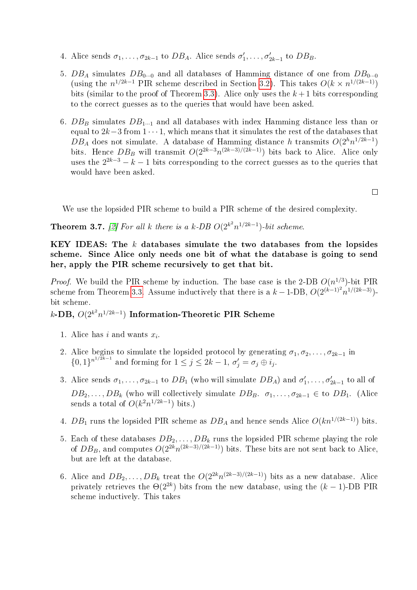- 4. Alice sends  $\sigma_1, \ldots, \sigma_{2k-1}$  to  $DB_A$ . Alice sends  $\sigma'_1, \ldots, \sigma'_{2k-1}$  to  $DB_B$ .
- 5.  $DB_A$  simulates  $DB_{0...0}$  and all databases of Hamming distance of one from  $DB_{0...0}$ (using the  $n^{1/2k-1}$  PIR scheme described in Section [3.2\)](#page-4-1). This takes  $O(k \times n^{1/(2k-1)})$ bits (similar to the proof of Theorem [3.3\)](#page-4-0). Alice only uses the  $k+1$  bits corresponding to the correct guesses as to the queries that would have been asked.
- 6.  $DB_B$  simulates  $DB_{1...1}$  and all databases with index Hamming distance less than or equal to  $2k-3$  from  $1 \cdot \cdot \cdot 1$ , which means that it simulates the rest of the databases that  $DB_A$  does not simulate. A database of Hamming distance h transmits  $O(2^h n^{1/2k-1})$ bits. Hence  $DB_B$  will transmit  $O(2^{2k-3}n^{(2k-3)/(2k-1)})$  bits back to Alice. Alice only uses the  $2^{2k-3} - k - 1$  bits corresponding to the correct guesses as to the queries that would have been asked.

 $\Box$ 

We use the lopsided PIR scheme to build a PIR scheme of the desired complexity.

<span id="page-7-0"></span>**Theorem 3.7.** [\[2\]](#page-27-3) For all k there is a k-DB  $O(2^{k^2}n^{1/2k-1})$ -bit scheme.

KEY IDEAS: The  $k$  databases simulate the two databases from the lopsides scheme. Since Alice only needs one bit of what the database is going to send her, apply the PIR scheme recursively to get that bit.

*Proof.* We build the PIR scheme by induction. The base case is the 2-DB  $O(n^{1/3})$ -bit PIR scheme from Theorem [3.3.](#page-4-0) Assume inductively that there is a  $k-1$ -DB,  $O(2^{(k-1)^2}n^{1/(2k-3)})$ bit scheme.

 $k\text{-DB},\, O(2^{k^2}n^{1/2k-1})$  Information-Theoretic PIR Scheme

- 1. Alice has  $i$  and wants  $x_i$ .
- 2. Alice begins to simulate the lopsided protocol by generating  $\sigma_1, \sigma_2, \ldots, \sigma_{2k-1}$  in  $\{0,1\}^{n^{1/2k-1}}$  and forming for  $1 \leq j \leq 2k-1$ ,  $\sigma'_j = \sigma_j \oplus i_j$ .
- 3. Alice sends  $\sigma_1, \ldots, \sigma_{2k-1}$  to  $DB_1$  (who will simulate  $DB_A$ ) and  $\sigma'_1, \ldots, \sigma'_{2k-1}$  to all of  $DB_2, \ldots, DB_k$  (who will collectively simulate  $DB_B$ .  $\sigma_1, \ldots, \sigma_{2k-1} \in$  to  $DB_1$ . (Alice sends a total of  $O(k^2n^{1/2k-1})$  bits.)
- 4. DB<sub>1</sub> runs the lopsided PIR scheme as  $DB_A$  and hence sends Alice  $O(kn^{1/(2k-1)})$  bits.
- 5. Each of these databases  $DB_2, \ldots, DB_k$  runs the lopsided PIR scheme playing the role of  $DB_B$ , and computes  $O(2^{2k}n^{(2k-3)/(2k-1)})$  bits. These bits are not sent back to Alice, but are left at the database.
- 6. Alice and  $DB_2, \ldots, DB_k$  treat the  $O(2^{2k}n^{(2k-3)/(2k-1)})$  bits as a new database. Alice privately retrieves the  $\Theta(2^{2k})$  bits from the new database, using the  $(k-1)$ -DB PIR scheme inductively. This takes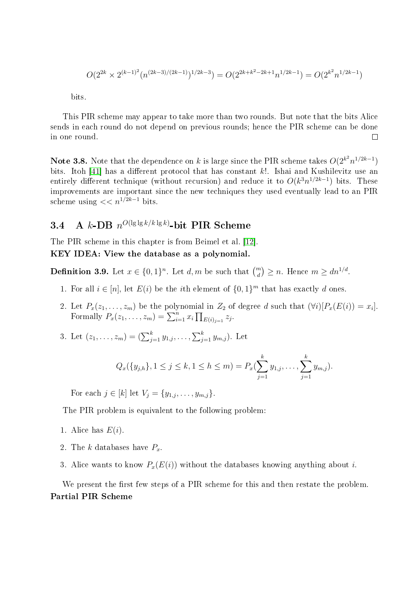$$
O(2^{2k} \times 2^{(k-1)^2} (n^{(2k-3)/(2k-1)})^{1/2k-3}) = O(2^{2k+k^2-2k+1} n^{1/2k-1}) = O(2^{k^2} n^{1/2k-1})
$$

bits.

This PIR scheme may appear to take more than two rounds. But note that the bits Alice sends in each round do not depend on previous rounds; hence the PIR scheme can be done in one round.  $\Box$ 

Note 3.8. Note that the dependence on k is large since the PIR scheme takes  $O(2^{k^2}n^{1/2k-1})$ bits. Itoh [\[41\]](#page-29-6) has a different protocol that has constant  $k!$ . Ishai and Kushilevitz use an entirely different technique (without recursion) and reduce it to  $O(k^3n^{1/2k-1})$  bits. These improvements are important since the new techniques they used eventually lead to an PIR scheme using  $<< n^{1/2k-1}$  bits.

## 3.4 A  $k$ -DB  $n^{O(\lg\lg k/k\lg k)}$ -bit PIR Scheme

The PIR scheme in this chapter is from Beimel et al. [\[12\]](#page-27-5).

#### <span id="page-8-0"></span>KEY IDEA: View the database as a polynomial.

**Definition 3.9.** Let  $x \in \{0,1\}^n$ . Let  $d, m$  be such that  $\binom{m}{d} \geq n$ . Hence  $m \geq dn^{1/d}$ .

- 1. For all  $i \in [n]$ , let  $E(i)$  be the *i*th element of  $\{0,1\}^m$  that has exactly d ones.
- 2. Let  $P_x(z_1,\ldots,z_m)$  be the polynomial in  $Z_2$  of degree d such that  $(\forall i)[P_x(E(i)) = x_i]$ . Formally  $P_x(z_1, \ldots, z_m) = \sum_{i=1}^n x_i \prod_{E(i)_{j=1}} z_j$ .
- 3. Let  $(z_1, \ldots, z_m) = (\sum_{j=1}^k y_{1,j}, \ldots, \sum_{j=1}^k y_{m,j}).$  Let

$$
Q_x({y_{j,h}}], 1 \leq j \leq k, 1 \leq h \leq m) = P_x(\sum_{j=1}^k y_{1,j}, \ldots, \sum_{j=1}^k y_{m,j}).
$$

For each  $j \in [k]$  let  $V_j = \{y_{1,j}, \ldots, y_{m,j}\}.$ 

The PIR problem is equivalent to the following problem:

- 1. Alice has  $E(i)$ .
- 2. The k databases have  $P_x$ .
- 3. Alice wants to know  $P_x(E(i))$  without the databases knowing anything about i.

We present the first few steps of a PIR scheme for this and then restate the problem. Partial PIR Scheme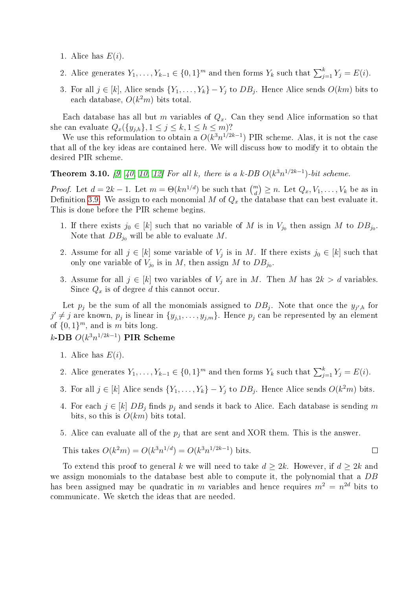- 1. Alice has  $E(i)$ .
- 2. Alice generates  $Y_1, \ldots, Y_{k-1} \in \{0,1\}^m$  and then forms  $Y_k$  such that  $\sum_{j=1}^k Y_j = E(i)$ .
- 3. For all  $j \in [k]$ , Alice sends  $\{Y_1, \ldots, Y_k\} Y_j$  to  $DB_j$ . Hence Alice sends  $O(km)$  bits to each database,  $O(k^2m)$  bits total.

Each database has all but m variables of  $Q_x$ . Can they send Alice information so that she can evaluate  $Q_x({y_{j,h}}], 1 \le j \le k, 1 \le h \le m$ ?

We use this reformulation to obtain a  $O(k^3n^{1/2k-1})$  PIR scheme. Alas, it is not the case that all of the key ideas are contained here. We will discuss how to modify it to obtain the desired PIR scheme.

<span id="page-9-0"></span>**Theorem 3.10.** [\[9,](#page-27-9) [40,](#page-29-0) [10,](#page-27-4) [12\]](#page-27-5) For all k, there is a k-DB  $O(k^3n^{1/2k-1})$ -bit scheme.

*Proof.* Let  $d = 2k - 1$ . Let  $m = \Theta(kn^{1/d})$  be such that  $\binom{m}{d} \geq n$ . Let  $Q_x, V_1, \ldots, V_k$  be as in Definition [3.9.](#page-8-0) We assign to each monomial M of  $Q_x$  the database that can best evaluate it. This is done before the PIR scheme begins.

- 1. If there exists  $j_0 \in [k]$  such that no variable of M is in  $V_{j_0}$  then assign M to  $DB_{j_0}$ . Note that  $DB_{j_0}$  will be able to evaluate M.
- 2. Assume for all  $j \in [k]$  some variable of  $V_j$  is in M. If there exists  $j_0 \in [k]$  such that only one variable of  $V_{j_0}$  is in M, then assign M to  $DB_{j_0}$ .
- 3. Assume for all  $j \in [k]$  two variables of  $V_j$  are in M. Then M has  $2k > d$  variables. Since  $Q_x$  is of degree d this cannot occur.

Let  $p_j$  be the sum of all the monomials assigned to  $DB_j$ . Note that once the  $y_{j',h}$  for  $j' \neq j$  are known,  $p_j$  is linear in  $\{y_{j,1}, \ldots, y_{j,m}\}$ . Hence  $p_j$  can be represented by an element of  $\{0,1\}^m$ , and is m bits long.

 $k\text{-DB } O(k^3n^{1/2k-1}) \text{ PIR Scheme}$ 

- 1. Alice has  $E(i)$ .
- 2. Alice generates  $Y_1, \ldots, Y_{k-1} \in \{0,1\}^m$  and then forms  $Y_k$  such that  $\sum_{j=1}^k Y_j = E(i)$ .
- 3. For all  $j \in [k]$  Alice sends  $\{Y_1, \ldots, Y_k\} Y_j$  to  $DB_j$ . Hence Alice sends  $O(k^2m)$  bits.
- 4. For each  $j \in [k]$   $DB_j$  finds  $p_j$  and sends it back to Alice. Each database is sending m bits, so this is  $O(km)$  bits total.
- 5. Alice can evaluate all of the  $p_i$  that are sent and XOR them. This is the answer.

This takes 
$$
O(k^2m) = O(k^3n^{1/d}) = O(k^3n^{1/2k-1})
$$
 bits.

To extend this proof to general k we will need to take  $d \geq 2k$ . However, if  $d \geq 2k$  and we assign monomials to the database best able to compute it, the polynomial that a DB has been assigned may be quadratic in m variables and hence requires  $m^2 = n^{2d}$  bits to communicate. We sketch the ideas that are needed.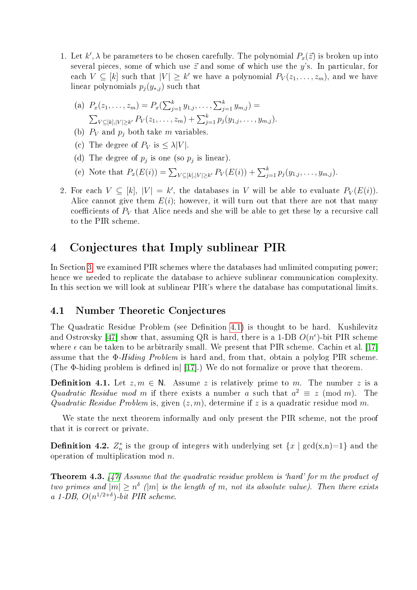1. Let  $k'$ ,  $\lambda$  be parameters to be chosen carefully. The polynomial  $P_x(\vec{z})$  is broken up into several pieces, some of which use  $\vec{z}$  and some of which use the y's. In particular, for each  $V \subseteq [k]$  such that  $|V| \geq k'$  we have a polynomial  $P_V(z_1, \ldots, z_m)$ , and we have linear polynomials  $p_j(y_{*,j})$  such that

(a) 
$$
P_x(z_1, ..., z_m) = P_x(\sum_{j=1}^k y_{1,j}, ..., \sum_{j=1}^k y_{m,j}) =
$$
  
 $\sum_{V \subseteq [k], |V| \ge k'} P_V(z_1, ..., z_m) + \sum_{j=1}^k p_j(y_{1,j}, ..., y_{m,j}).$ 

- (b)  $P_V$  and  $p_j$  both take m variables.
- (c) The degree of  $P_V$  is  $\leq \lambda |V|$ .
- (d) The degree of  $p_j$  is one (so  $p_j$  is linear).
- (e) Note that  $P_x(E(i)) = \sum_{V \subseteq [k], |V| \ge k'} P_V(E(i)) + \sum_{j=1}^k p_j(y_{1,j}, \ldots, y_{m,j}).$
- 2. For each  $V \subseteq [k]$ ,  $|V| = k'$ , the databases in V will be able to evaluate  $P_V(E(i))$ . Alice cannot give them  $E(i)$ ; however, it will turn out that there are not that many coefficients of  $P_V$  that Alice needs and she will be able to get these by a recursive call to the PIR scheme.

# <span id="page-10-1"></span>4 Conjectures that Imply sublinear PIR

In Section [3,](#page-3-1) we examined PIR schemes where the databases had unlimited computing power; hence we needed to replicate the database to achieve sublinear communication complexity. In this section we will look at sublinear PIR's where the database has computational limits.

### 4.1 Number Theoretic Conjectures

The Quadratic Residue Problem (see Definition [4.1\)](#page-10-0) is thought to be hard. Kushilevitz and Ostrovsky [\[47\]](#page-29-1) show that, assuming QR is hard, there is a 1-DB  $O(n^{\epsilon})$ -bit PIR scheme where  $\epsilon$  can be taken to be arbitrarily small. We present that PIR scheme. Cachin et al. [\[17\]](#page-28-5) assume that the Φ-Hiding Problem is hard and, from that, obtain a polylog PIR scheme. (The  $\Phi$ -hiding problem is defined in [\[17\]](#page-28-5).) We do not formalize or prove that theorem.

<span id="page-10-0"></span>**Definition 4.1.** Let  $z, m \in \mathbb{N}$ . Assume z is relatively prime to m. The number z is a Quadratic Residue mod m if there exists a number a such that  $a^2 \equiv z \pmod{m}$ . The Quadratic Residue Problem is, given  $(z, m)$ , determine if z is a quadratic residue mod m.

We state the next theorem informally and only present the PIR scheme, not the proof that it is correct or private.

**Definition 4.2.**  $Z_n^*$  is the group of integers with underlying set  $\{x \mid \gcd(x,n)=1\}$  and the operation of multiplication mod n.

<span id="page-10-2"></span>**Theorem 4.3.** [\[47\]](#page-29-1) Assume that the quadratic residue problem is 'hard' for m the product of two primes and  $|m| \geq n^{\delta}$  (|m| is the length of m, not its absolute value). Then there exists a 1-DB,  $O(n^{1/2+\delta})$ -bit PIR scheme.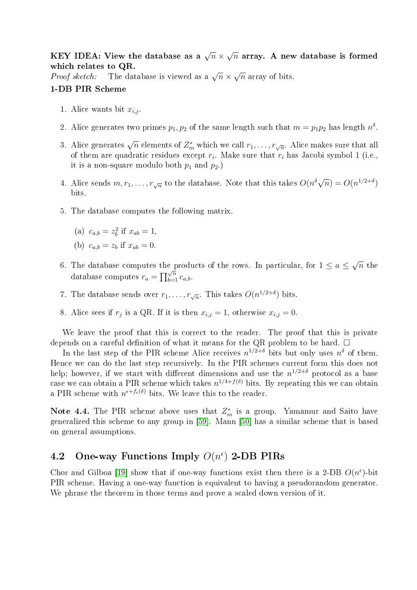KEY IDEA: View the database as a  $\sqrt{n}$   $\times$ √  $\overline{n}$  array. A new database is formed which relates to QR. √

which relates to Qn.<br>Proof sketch: The database is viewed as a  $\sqrt{n} \times$  $\overline{n}$  array of bits.

#### 1-DB PIR Scheme

- 1. Alice wants bit  $x_{i,j}$
- 2. Alice generates two primes  $p_1, p_2$  of the same length such that  $m = p_1 p_2$  has length  $n<sup>δ</sup>$ .
- 3. Alice generates  $\sqrt{n}$  elements of  $Z_m^*$  which we call  $r_1,\ldots,r_{\sqrt{n}}.$  Alice makes sure that all of them are quadratic residues except  $r_i$ . Make sure that  $r_i$  has Jacobi symbol 1 (i.e., it is a non-square modulo both  $p_1$  and  $p_2$ .)
- 4. Alice sends  $m, r_1, \ldots, r_{\sqrt{n}}$  to the database. Note that this takes  $O(n^{\delta}\sqrt{n}) = O(n^{1/2+\delta})$ bits.
- 5. The database computes the following matrix.
	- (a)  $c_{a,b} = z_b^2$  if  $x_{ab} = 1$ ,
	- (b)  $c_{a,b} = z_b$  if  $x_{ab} = 0$ .
- 6. The database computes the products of the rows. In particular, for  $1 \le a \le$ √  $\overline{n}$  the database computes  $r_a = \prod_{b=1}^{\sqrt{n}} c_{a,b}$ .
- 7. The database sends over  $r_1, \ldots, r_{\sqrt{n}}$ . This takes  $O(n^{1/2+\delta})$  bits.
- 8. Alice sees if  $r_j$  is a QR. If it is then  $x_{i,j} = 1$ , otherwise  $x_{i,j} = 0$ .

We leave the proof that this is correct to the reader. The proof that this is private depends on a careful definition of what it means for the QR problem to be hard.  $\Box$ 

In the last step of the PIR scheme Alice receives  $n^{1/2+\delta}$  bits but only uses  $n^{\delta}$  of them. Hence we can do the last step recursively. In the PIR schemes current form this does not help; however, if we start with different dimensions and use the  $n^{1/2+\delta}$  protocol as a base case we can obtain a PIR scheme which takes  $n^{1/4+f(\delta)}$  bits. By repeating this we can obtain a PIR scheme with  $n^{\epsilon+f_{\epsilon}(\delta)}$  bits. We leave this to the reader.

Note 4.4. The PIR scheme above uses that  $Z_m^*$  is a group. Yamamur and Saito have generalized this scheme to any group in [\[59\]](#page-30-3). Mann [\[50\]](#page-30-4) has a similar scheme that is based on general assumptions.

## 4.2 One-way Functions Imply  $O(n^{\epsilon})$  2-DB PIRs

<span id="page-11-0"></span>Chor and Gilboa [\[19\]](#page-28-4) show that if one-way functions exist then there is a 2-DB  $O(n^{\epsilon})$ -bit PIR scheme. Having a one-way function is equivalent to having a pseudorandom generator. We phrase the theorem in those terms and prove a scaled down version of it.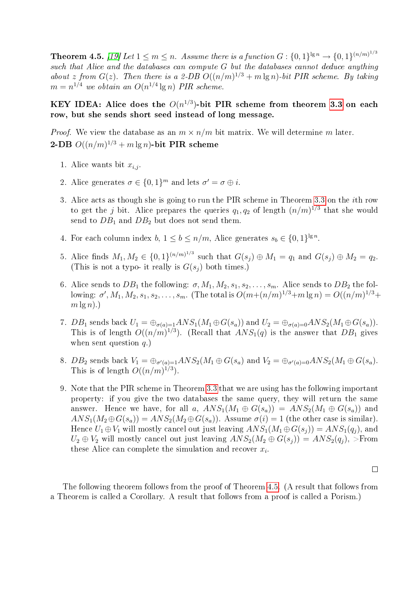**Theorem 4.5.** [\[19\]](#page-28-4) Let  $1 \leq m \leq n$ . Assume there is a function  $G: \{0,1\}^{\lg n} \to \{0,1\}^{(n/m)^{1/3}}$ such that Alice and the databases can compute  $G$  but the databases cannot deduce anything about z from  $G(z)$ . Then there is a 2-DB  $O((n/m)^{1/3} + m \lg n)$ -bit PIR scheme. By taking  $m = n^{1/4}$  we obtain an  $O(n^{1/4} \lg n)$  PIR scheme.

#### KEY IDEA: Alice does the  $O(n^{1/3})$ -bit PIR scheme from theorem [3.3](#page-4-0) on each row, but she sends short seed instead of long message.

*Proof.* We view the database as an  $m \times n/m$  bit matrix. We will determine m later. **2-DB**  $O((n/m)^{1/3} + m \lg n)$ -bit PIR scheme

- 1. Alice wants bit  $x_{i,j}$
- 2. Alice generates  $\sigma \in \{0,1\}^m$  and lets  $\sigma' = \sigma \oplus i$ .
- 3. Alice acts as though she is going to run the PIR scheme in Theorem [3.3](#page-4-0) on the ith row to get the j bit. Alice prepares the queries  $q_1, q_2$  of length  $(n/m)^{1/3}$  that she would send to  $DB_1$  and  $DB_2$  but does not send them.
- 4. For each column index  $b, 1 \leq b \leq n/m$ , Alice generates  $s_b \in \{0, 1\}^{\lg n}$ .
- 5. Alice finds  $M_1, M_2 \in \{0, 1\}^{(n/m)^{1/3}}$  such that  $G(s_j) \oplus M_1 = q_1$  and  $G(s_j) \oplus M_2 = q_2$ . (This is not a typo- it really is  $G(s_i)$  both times.)
- 6. Alice sends to  $DB_1$  the following:  $\sigma$ ,  $M_1$ ,  $M_2$ ,  $s_1$ ,  $s_2$ ,  $\ldots$ ,  $s_m$ . Alice sends to  $DB_2$  the following: σ',  $M_1, M_2, s_1, s_2, \ldots, s_m$ . (The total is  $O(m + (n/m)^{1/3} + m \lg n) = O((n/m)^{1/3} +$  $m \lg n$ ).)
- 7. DB<sub>1</sub> sends back  $U_1 = \bigoplus_{\sigma(a)=1} ANS_1(M_1 \oplus G(s_a))$  and  $U_2 = \bigoplus_{\sigma(a)=0} ANS_2(M_1 \oplus G(s_a)).$ This is of length  $O((n/m)^{1/3})$ . (Recall that  $ANS_1(q)$  is the answer that  $DB_1$  gives when sent question  $q$ .)
- 8.  $DB_2$  sends back  $V_1 = \bigoplus_{\sigma'(a)=1} ANS_2(M_1 \oplus G(s_a))$  and  $V_2 = \bigoplus_{\sigma'(a)=0} ANS_2(M_1 \oplus G(s_a))$ . This is of length  $O((n/m)^{1/3})$ .
- 9. Note that the PIR scheme in Theorem [3.3](#page-4-0) that we are using has the following important property: if you give the two databases the same query, they will return the same answer. Hence we have, for all a,  $ANS_1(M_1 \oplus G(s_a)) = ANS_2(M_1 \oplus G(s_a))$  and  $ANS_1(M_2 \oplus G(s_a)) = ANS_2(M_2 \oplus G(s_a))$ . Assume  $\sigma(i) = 1$  (the other case is similar). Hence  $U_1 \oplus V_1$  will mostly cancel out just leaving  $ANS_1(M_1 \oplus G(s_i)) = ANS_1(q_i)$ , and  $U_2 \oplus V_2$  will mostly cancel out just leaving  $ANS_2(M_2 \oplus G(s_i)) = ANS_2(q_i)$ , >From these Alice can complete the simulation and recover  $x_i$ .

 $\Box$ 

The following theorem follows from the proof of Theorem [4.5.](#page-11-0) (A result that follows from a Theorem is called a Corollary. A result that follows from a proof is called a Porism.)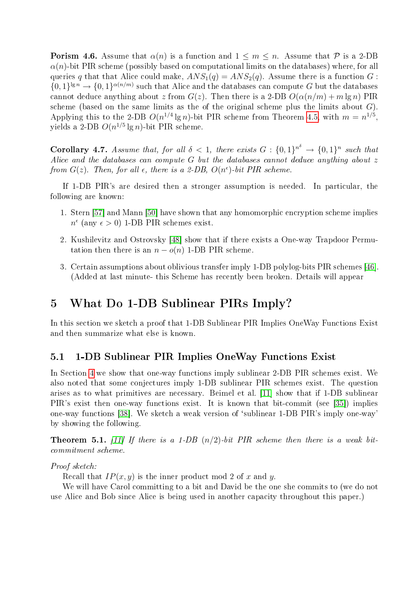**Porism 4.6.** Assume that  $\alpha(n)$  is a function and  $1 \leq m \leq n$ . Assume that P is a 2-DB  $\alpha(n)$ -bit PIR scheme (possibly based on computational limits on the databases) where, for all queries q that that Alice could make,  $ANS_1(q) = ANS_2(q)$ . Assume there is a function G:  $\{0,1\}^{\lg n} \to \{0,1\}^{\alpha(n/m)}$  such that Alice and the databases can compute G but the databases cannot deduce anything about z from  $G(z)$ . Then there is a 2-DB  $O(\alpha(n/m) + m \lg n)$  PIR scheme (based on the same limits as the of the original scheme plus the limits about  $G$ ). Applying this to the 2-DB  $O(n^{1/4} \lg n)$ -bit PIR scheme from Theorem [4.5,](#page-11-0) with  $m = n^{1/5}$ , yields a 2-DB  $O(n^{1/5} \lg n)$ -bit PIR scheme.

**Corollary 4.7.** Assume that, for all  $\delta < 1$ , there exists  $G : \{0,1\}^n \rightarrow \{0,1\}^n$  such that Alice and the databases can compute G but the databases cannot deduce anything about z from  $G(z)$ . Then, for all  $\epsilon$ , there is a 2-DB,  $O(n^{\epsilon})$ -bit PIR scheme.

If 1-DB PIR's are desired then a stronger assumption is needed. In particular, the following are known:

- 1. Stern [\[57\]](#page-30-5) and Mann [\[50\]](#page-30-4) have shown that any homomorphic encryption scheme implies  $n^{\epsilon}$  (any  $\epsilon > 0$ ) 1-DB PIR schemes exist.
- 2. Kushilevitz and Ostrovsky [\[48\]](#page-29-2) show that if there exists a One-way Trapdoor Permutation then there is an  $n - o(n)$  1-DB PIR scheme.
- 3. Certain assumptions about oblivious transfer imply 1-DB polylog-bits PIR schemes [\[46\]](#page-29-9). (Added at last minute- this Scheme has recently been broken. Details will appear

# 5 What Do 1-DB Sublinear PIRs Imply?

In this section we sketch a proof that 1-DB Sublinear PIR Implies OneWay Functions Exist and then summarize what else is known.

### 5.1 1-DB Sublinear PIR Implies OneWay Functions Exist

In Section [4](#page-10-1) we show that one-way functions imply sublinear 2-DB PIR schemes exist. We also noted that some conjectures imply 1-DB sublinear PIR schemes exist. The question arises as to what primitives are necessary. Beimel et al. [\[11\]](#page-27-6) show that if 1-DB sublinear PIR's exist then one-way functions exist. It is known that bit-commit (see [\[35\]](#page-29-10)) implies one-way functions [\[38\]](#page-29-11). We sketch a weak version of `sublinear 1-DB PIR's imply one-way' by showing the following.

<span id="page-13-0"></span>**Theorem 5.1.** [\[11\]](#page-27-6) If there is a 1-DB  $(n/2)$ -bit PIR scheme then there is a weak bitcommitment scheme.

#### Proof sketch:

Recall that  $IP(x, y)$  is the inner product mod 2 of x and y.

We will have Carol committing to a bit and David be the one she commits to (we do not use Alice and Bob since Alice is being used in another capacity throughout this paper.)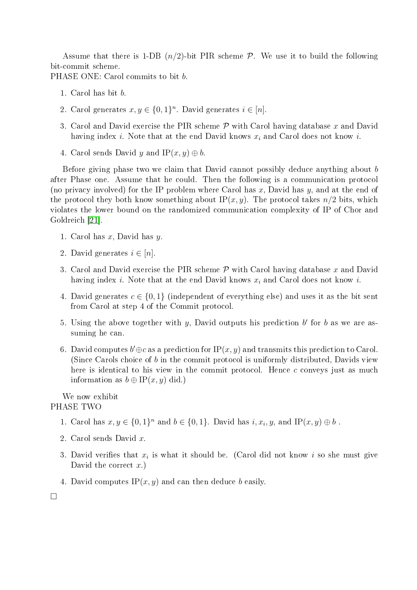Assume that there is 1-DB  $(n/2)$ -bit PIR scheme  $P$ . We use it to build the following bit-commit scheme.

PHASE ONE: Carol commits to bit b.

- 1. Carol has bit b.
- 2. Carol generates  $x, y \in \{0, 1\}^n$ . David generates  $i \in [n]$ .
- 3. Carol and David exercise the PIR scheme  $P$  with Carol having database x and David having index i. Note that at the end David knows  $x_i$  and Carol does not know i.
- 4. Carol sends David y and IP $(x, y) \oplus b$ .

Before giving phase two we claim that David cannot possibly deduce anything about b after Phase one. Assume that he could. Then the following is a communication protocol (no privacy involved) for the IP problem where Carol has x, David has y, and at the end of the protocol they both know something about IP $(x, y)$ . The protocol takes  $n/2$  bits, which violates the lower bound on the randomized communication complexity of IP of Chor and Goldreich [\[21\]](#page-28-11).

- 1. Carol has  $x$ , David has  $y$ .
- 2. David generates  $i \in [n]$ .
- 3. Carol and David exercise the PIR scheme  $P$  with Carol having database x and David having index i. Note that at the end David knows  $x_i$  and Carol does not know i.
- 4. David generates  $c \in \{0, 1\}$  (independent of everything else) and uses it as the bit sent from Carol at step 4 of the Commit protocol.
- 5. Using the above together with  $y$ , David outputs his prediction  $b'$  for  $b$  as we are assuming he can.
- 6. David computes  $b' \oplus c$  as a prediction for IP $(x, y)$  and transmits this prediction to Carol. (Since Carols choice of b in the commit protocol is uniformly distributed, Davids view here is identical to his view in the commit protocol. Hence c conveys just as much information as  $b \oplus \text{IP}(x, y)$  did.)

#### We now exhibit PHASE TWO

- 1. Carol has  $x, y \in \{0, 1\}^n$  and  $b \in \{0, 1\}$ . David has  $i, x_i, y$ , and IP $(x, y) \oplus b$ .
- 2. Carol sends David x.
- 3. David verifies that  $x_i$  is what it should be. (Carol did not know i so she must give David the correct  $x$ .)
- 4. David computes  $IP(x, y)$  and can then deduce b easily.

 $\Box$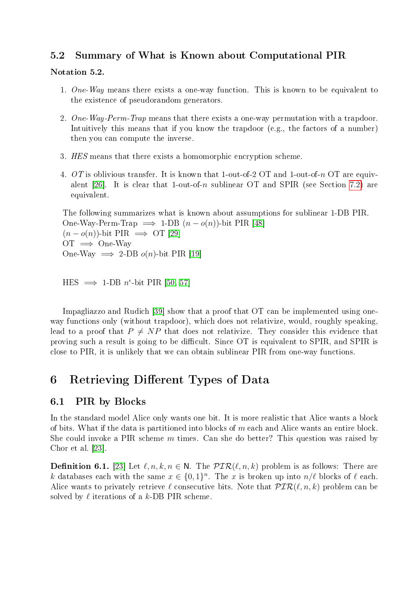### 5.2 Summary of What is Known about Computational PIR

#### Notation 5.2.

- 1. One-Way means there exists a one-way function. This is known to be equivalent to the existence of pseudorandom generators.
- 2. One-Way-Perm-Trap means that there exists a one-way permutation with a trapdoor. Intuitively this means that if you know the trapdoor (e.g., the factors of a number) then you can compute the inverse.
- 3. HES means that there exists a homomorphic encryption scheme.
- 4. OT is oblivious transfer. It is known that 1-out-of-2 OT and 1-out-of-n OT are equiv-alent [\[26\]](#page-28-12). It is clear that 1-out-of-n sublinear OT and SPIR (see Section [7.2\)](#page-18-0) are equivalent.

The following summarizes what is known about assumptions for sublinear 1-DB PIR. One-Way-Perm-Trap  $\implies$  1-DB  $(n-o(n))$ -bit PIR [\[48\]](#page-29-2)  $(n - o(n))$ -bit PIR  $\implies$  OT [\[29\]](#page-28-6)  $OT \implies$  One-Way One-Way  $\implies$  2-DB  $o(n)$ -bit PIR [\[19\]](#page-28-4)

```
[50, 57]
```
Impagliazzo and Rudich [\[39\]](#page-29-12) show that a proof that OT can be implemented using oneway functions only (without trapdoor), which does not relativize, would, roughly speaking, lead to a proof that  $P \neq NP$  that does not relativize. They consider this evidence that proving such a result is going to be difficult. Since OT is equivalent to SPIR, and SPIR is close to PIR, it is unlikely that we can obtain sublinear PIR from one-way functions.

# 6 Retrieving Different Types of Data

### 6.1 PIR by Blocks

In the standard model Alice only wants one bit. It is more realistic that Alice wants a block of bits. What if the data is partitioned into blocks of  $m$  each and Alice wants an entire block. She could invoke a PIR scheme m times. Can she do better? This question was raised by Chor et al. [\[23\]](#page-28-2).

**Definition 6.1.** [\[23\]](#page-28-2) Let  $\ell, n, k, n \in \mathbb{N}$ . The  $PIR(\ell, n, k)$  problem is as follows: There are k databases each with the same  $x \in \{0,1\}^n$ . The x is broken up into  $n/\ell$  blocks of  $\ell$  each. Alice wants to privately retrieve  $\ell$  consecutive bits. Note that  $\mathcal{PIR}(\ell, n, k)$  problem can be solved by  $\ell$  iterations of a k-DB PIR scheme.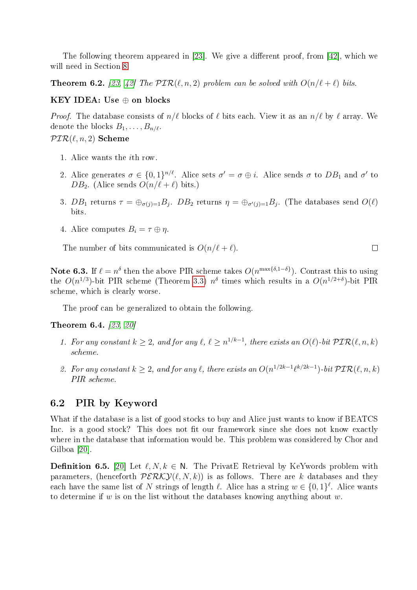The following theorem appeared in  $[23]$ . We give a different proof, from  $[42]$ , which we will need in Section [8](#page-23-0)

<span id="page-16-1"></span>**Theorem 6.2.** [\[23,](#page-28-2) [42\]](#page-29-13) The  $PIR(\ell, n, 2)$  problem can be solved with  $O(n/\ell + \ell)$  bits.

#### KEY IDEA: Use  $\oplus$  on blocks

*Proof.* The database consists of  $n/\ell$  blocks of  $\ell$  bits each. View it as an  $n/\ell$  by  $\ell$  array. We denote the blocks  $B_1, \ldots, B_{n/\ell}$ .

### $\mathcal{PIR}(\ell, n, 2)$  Scheme

- 1. Alice wants the ith row.
- 2. Alice generates  $\sigma \in \{0,1\}^{n/\ell}$ . Alice sets  $\sigma' = \sigma \oplus i$ . Alice sends  $\sigma$  to  $DB_1$  and  $\sigma'$  to DB<sub>2</sub>. (Alice sends  $O(n/\ell + \ell)$  bits.)
- 3.  $DB_1$  returns  $\tau = \bigoplus_{\sigma(j)=1} B_j$ .  $DB_2$  returns  $\eta = \bigoplus_{\sigma'(j)=1} B_j$ . (The databases send  $O(\ell)$ bits.
- 4. Alice computes  $B_i = \tau \oplus \eta$ .

The number of bits communicated is  $O(n/\ell + \ell)$ .

Note 6.3. If  $\ell = n^{\delta}$  then the above PIR scheme takes  $O(n^{\max\{\delta, 1-\delta\}})$ . Contrast this to using the  $O(n^{1/3})$ -bit PIR scheme (Theorem [3.3\)](#page-4-0)  $n^{\delta}$  times which results in a  $O(n^{1/2+\delta})$ -bit PIR scheme, which is clearly worse.

The proof can be generalized to obtain the following.

Theorem 6.4. [\[23,](#page-28-2) [20\]](#page-28-13)

- 1. For any constant  $k \geq 2$ , and for any  $\ell, \ell \geq n^{1/k-1}$ , there exists an  $O(\ell)$ -bit  $\mathcal{PIR}(\ell, n, k)$ scheme.
- 2. For any constant  $k \geq 2$ , and for any  $\ell$ , there exists an  $O(n^{1/2k-1}\ell^{k/2k-1})$ -bit  $\mathcal{PIR}(\ell,n,k)$ PIR scheme.

#### <span id="page-16-0"></span>6.2 PIR by Keyword

What if the database is a list of good stocks to buy and Alice just wants to know if BEATCS Inc. is a good stock? This does not fit our framework since she does not know exactly where in the database that information would be. This problem was considered by Chor and Gilboa [\[20\]](#page-28-13).

**Definition 6.5.** [\[20\]](#page-28-13) Let  $\ell, N, k \in \mathbb{N}$ . The PrivatE Retrieval by KeYwords problem with parameters, (henceforth  $PERKY(\ell, N, k)$ ) is as follows. There are k databases and they each have the same list of N strings of length  $\ell$ . Alice has a string  $w \in \{0, 1\}^{\ell}$ . Alice wants to determine if  $w$  is on the list without the databases knowing anything about  $w$ .

 $\Box$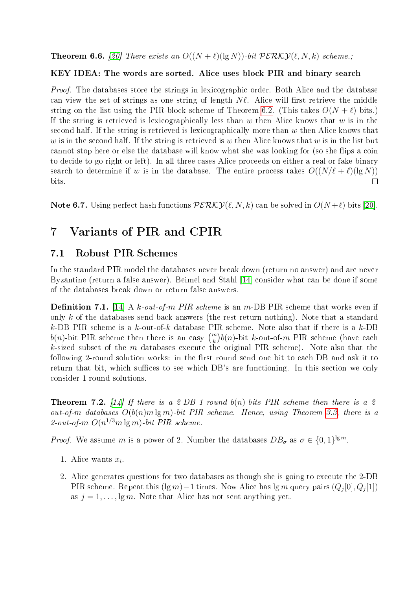**Theorem 6.6.** [\[20\]](#page-28-13) There exists an  $O((N + \ell)(\lg N))$ -bit  $PERKY(\ell, N, k)$  scheme.;

#### KEY IDEA: The words are sorted. Alice uses block PIR and binary search

Proof. The databases store the strings in lexicographic order. Both Alice and the database can view the set of strings as one string of length  $N\ell$ . Alice will first retrieve the middle string on the list using the PIR-block scheme of Theorem [6.2.](#page-16-1) (This takes  $O(N + \ell)$  bits.) If the string is retrieved is lexicographically less than  $w$  then Alice knows that  $w$  is in the second half. If the string is retrieved is lexicographically more than  $w$  then Alice knows that w is in the second half. If the string is retrieved is w then Alice knows that w is in the list but cannot stop here or else the database will know what she was looking for (so she flips a coin to decide to go right or left). In all three cases Alice proceeds on either a real or fake binary search to determine if w is in the database. The entire process takes  $O((N/\ell + \ell)(\lg N))$  $\Box$ bits.

Note 6.7. Using perfect hash functions  $\mathcal{PERKY}(\ell, N, k)$  can be solved in  $O(N + \ell)$  bits [\[20\]](#page-28-13).

# 7 Variants of PIR and CPIR

### 7.1 Robust PIR Schemes

In the standard PIR model the databases never break down (return no answer) and are never Byzantine (return a false answer). Beimel and Stahl [\[14\]](#page-28-14) consider what can be done if some of the databases break down or return false answers.

**Definition 7.1.** [\[14\]](#page-28-14) A k-out-of-m PIR scheme is an m-DB PIR scheme that works even if only k of the databases send back answers (the rest return nothing). Note that a standard k-DB PIR scheme is a k-out-of-k database PIR scheme. Note also that if there is a k-DB  $b(n)$ -bit PIR scheme then there is an easy  $\binom{m}{k}b(n)$ -bit k-out-of-m PIR scheme (have each  $k$ -sized subset of the  $m$  databases execute the original PIR scheme). Note also that the following 2-round solution works: in the first round send one bit to each DB and ask it to return that bit, which suffices to see which DB's are functioning. In this section we only consider 1-round solutions.

<span id="page-17-0"></span>**Theorem 7.2.** [\[14\]](#page-28-14) If there is a 2-DB 1-round  $b(n)$ -bits PIR scheme then there is a 2out-of-m databases  $O(b(n)m \lg m)$ -bit PIR scheme. Hence, using Theorem [3.3,](#page-4-0) there is a 2-out-of-m  $O(n^{1/3}m \lg m)$ -bit PIR scheme.

*Proof.* We assume m is a power of 2. Number the databases  $DB_{\sigma}$  as  $\sigma \in \{0,1\}^{\lg m}$ .

- 1. Alice wants  $x_i$ .
- 2. Alice generates questions for two databases as though she is going to execute the 2-DB PIR scheme. Repeat this (lg m)−1 times. Now Alice has lg m query pairs  $(Q_j[0], Q_j[1])$ as  $j = 1, \ldots, \lg m$ . Note that Alice has not sent anything yet.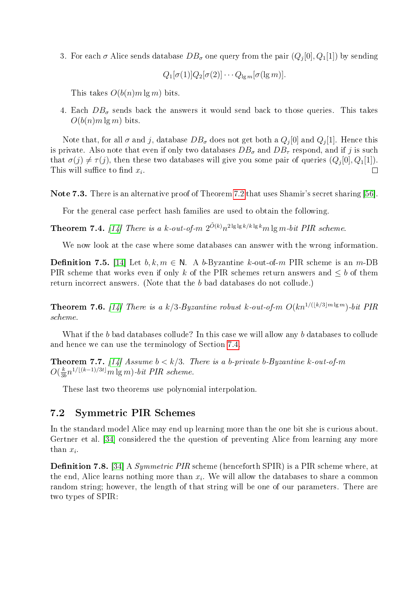3. For each  $\sigma$  Alice sends database  $DB_\sigma$  one query from the pair  $(Q_j[0], Q_1[1])$  by sending

$$
Q_1[\sigma(1)]Q_2[\sigma(2)]\cdots Q_{\lg m}[\sigma(\lg m)].
$$

This takes  $O(b(n)m \lg m)$  bits.

4. Each  $DB_{\sigma}$  sends back the answers it would send back to those queries. This takes  $O(b(n)m \lg m)$  bits.

Note that, for all  $\sigma$  and  $j$ , database  $DB_\sigma$  does not get both a  $Q_j[0]$  and  $Q_j[1]$ . Hence this is private. Also note that even if only two databases  $DB_{\sigma}$  and  $DB_{\tau}$  respond, and if j is such that  $\sigma(j) \neq \tau(j)$ , then these two databases will give you some pair of queries  $(Q_j[0], Q_1[1])$ . This will suffice to find  $x_i$ .  $\Box$ 

Note 7.3. There is an alternative proof of Theorem [7.2](#page-17-0) that uses Shamir's secret sharing [\[56\]](#page-30-6).

For the general case perfect hash families are used to obtain the following.

**Theorem 7.4.** [\[14\]](#page-28-14) There is a k-out-of-m  $2^{\tilde{O}(k)}n^{2\lg\lg k/k\lg k}m\lg m\text{-}bit\,PIR\,scheme.$ 

We now look at the case where some databases can answer with the wrong information.

**Definition 7.5.** [\[14\]](#page-28-14) Let  $b, k, m \in \mathbb{N}$ . A b-Byzantine k-out-of-m PIR scheme is an m-DB PIR scheme that works even if only k of the PIR schemes return answers and  $\leq b$  of them return incorrect answers. (Note that the b bad databases do not collude.)

**Theorem 7.6.** [\[14\]](#page-28-14) There is a k/3-Byzantine robust k-out-of-m  $O(kn^{1/(\lfloor k/3\rfloor m \lg m)}$ -bit PIR scheme.

What if the b bad databases collude? In this case we will allow any b databases to collude and hence we can use the terminology of Section [7.4.](#page-21-0)

**Theorem 7.7.** [\[14\]](#page-28-14) Assume  $b < k/3$ . There is a b-private b-Byzantine k-out-of-m  $O(\frac{k}{3})$  $\frac{k}{3b}n^{1/\lfloor(k-1)/3t\rfloor}m\lg m$ )-bit PIR scheme.

These last two theorems use polynomial interpolation.

### <span id="page-18-0"></span>7.2 Symmetric PIR Schemes

In the standard model Alice may end up learning more than the one bit she is curious about. Gertner et al. [\[34\]](#page-29-14) considered the the question of preventing Alice from learning any more than  $x_i$ .

**Definition 7.8.** [\[34\]](#page-29-14) A *Symmetric PIR* scheme (henceforth SPIR) is a PIR scheme where, at the end, Alice learns nothing more than  $x_i$ . We will allow the databases to share a common random string; however, the length of that string will be one of our parameters. There are two types of SPIR: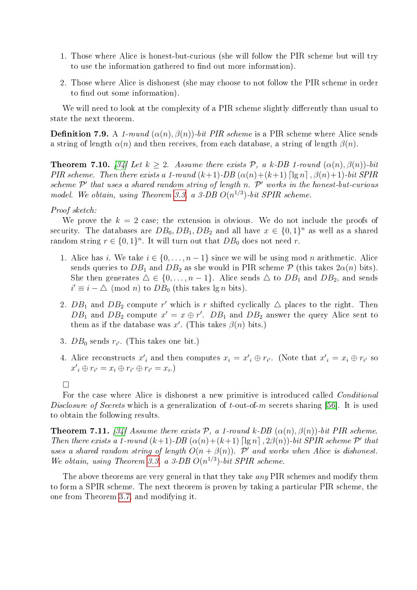- 1. Those where Alice is honest-but-curious (she will follow the PIR scheme but will try to use the information gathered to find out more information).
- 2. Those where Alice is dishonest (she may choose to not follow the PIR scheme in order to find out some information).

We will need to look at the complexity of a PIR scheme slightly differently than usual to state the next theorem.

**Definition 7.9.** A 1-round  $(\alpha(n), \beta(n))$ -bit PIR scheme is a PIR scheme where Alice sends a string of length  $\alpha(n)$  and then receives, from each database, a string of length  $\beta(n)$ .

**Theorem 7.10.** [\[34\]](#page-29-14) Let  $k \geq 2$ . Assume there exists  $P$ , a k-DB 1-round  $(\alpha(n), \beta(n))$ -bit PIR scheme. Then there exists a 1-round  $(k+1)$ -DB  $(\alpha(n)+(k+1)$  [lg n],  $\beta(n)+1$ ]-bit SPIR scheme  $\mathcal{P}'$  that uses a shared random string of length n.  $\mathcal{P}'$  works in the honest-but-curious model. We obtain, using Theorem [3.3,](#page-4-0) a 3-DB  $O(n^{1/3})$ -bit SPIR scheme.

#### Proof sketch:

We prove the  $k = 2$  case; the extension is obvious. We do not include the proofs of security. The databases are  $DB_0, DB_1, DB_2$  and all have  $x \in \{0,1\}^n$  as well as a shared random string  $r \in \{0,1\}^n$ . It will turn out that  $DB_0$  does not need r.

- 1. Alice has i. We take  $i \in \{0, \ldots, n-1\}$  since we will be using mod n arithmetic. Alice sends queries to  $DB_1$  and  $DB_2$  as she would in PIR scheme  $P$  (this takes  $2\alpha(n)$  bits). She then generates  $\Delta \in \{0, \ldots, n-1\}$ . Alice sends  $\Delta$  to  $DB_1$  and  $DB_2$ , and sends  $i' \equiv i - \triangle \pmod{n}$  to  $DB_0$  (this takes  $\lg n$  bits).
- 2.  $DB_1$  and  $DB_2$  compute r' which is r shifted cyclically  $\triangle$  places to the right. Then DB<sub>1</sub> and DB<sub>2</sub> compute  $x' = x \oplus r'$ . DB<sub>1</sub> and DB<sub>2</sub> answer the query Alice sent to them as if the database was x'. (This takes  $\beta(n)$  bits.)
- 3.  $DB_0$  sends  $r_{i'}$ . (This takes one bit.)
- 4. Alice reconstructs  $x_i'$  and then computes  $x_i = x_i' \oplus r_{i'}$ . (Note that  $x_i' = x_i \oplus r_{i'}$  so  $x'_{i} \oplus r_{i'} = x_{i} \oplus r_{i'} \oplus r_{i'} = x_{i}$ .

 $\Box$ 

For the case where Alice is dishonest a new primitive is introduced called *Conditional* Disclosure of Secrets which is a generalization of t-out-of-m secrets sharing [\[56\]](#page-30-6). It is used to obtain the following results.

**Theorem 7.11.** [\[34\]](#page-29-14) Assume there exists  $P$ , a 1-round k-DB  $(\alpha(n), \beta(n))$ -bit PIR scheme. Then there exists a 1-round  $(k+1)$ -DB  $(\alpha(n)+(k+1)$  [lg n],  $2\beta(n)$ )-bit SPIR scheme  $\mathcal{P}'$  that uses a shared random string of length  $O(n + \beta(n))$ . P' and works when Alice is dishonest. We obtain, using Theorem [3.3,](#page-4-0) a 3-DB  $O(n^{1/3})$ -bit SPIR scheme.

The above theorems are very general in that they take *any* PIR schemes and modify them to form a SPIR scheme. The next theorem is proven by taking a particular PIR scheme, the one from Theorem [3.7,](#page-7-0) and modifying it.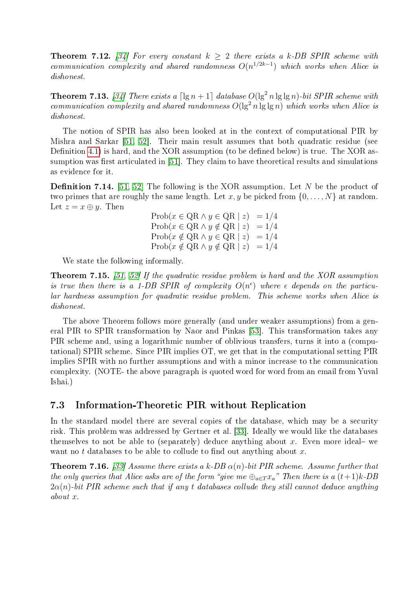**Theorem 7.12.** [\[34\]](#page-29-14) For every constant  $k \geq 2$  there exists a k-DB SPIR scheme with communication complexity and shared randomness  $O(n^{1/2k-1})$  which works when Alice is dishonest.

**Theorem 7.13.** [\[34\]](#page-29-14) There exists a  $\lceil \lg n + 1 \rceil$  database  $O(\lg^2 n \lg \lg n)$ -bit SPIR scheme with communication complexity and shared randomness  $O(\lg^2 n \lg \lg n)$  which works when Alice is dishonest.

The notion of SPIR has also been looked at in the context of computational PIR by Mishra and Sarkar [\[51,](#page-30-7) [52\]](#page-30-8). Their main result assumes that both quadratic residue (see Definition [4.1\)](#page-10-0) is hard, and the XOR assumption (to be defined below) is true. The XOR assumption was first articulated in  $[51]$ . They claim to have theoretical results and simulations as evidence for it.

**Definition 7.14.** [\[51,](#page-30-7) [52\]](#page-30-8) The following is the XOR assumption. Let N be the product of two primes that are roughly the same length. Let x, y be picked from  $\{0, \ldots, N\}$  at random. Let  $z = x \oplus y$ . Then

> $\text{Prob}(x \in \text{QR} \land y \in \text{QR} \mid z) = 1/4$  $Prob(x \in QR \wedge y \notin QR \mid z) = 1/4$  $\text{Prob}(x \notin \text{QR} \land y \in \text{QR} \mid z) = 1/4$  $\text{Prob}(x \notin \text{QR} \land y \notin \text{QR} \mid z) = 1/4$

We state the following informally.

**Theorem 7.15.** [\[51,](#page-30-7) [52\]](#page-30-8) If the quadratic residue problem is hard and the XOR assumption is true then there is a 1-DB SPIR of complexity  $O(n^{\epsilon})$  where  $\epsilon$  depends on the particular hardness assumption for quadratic residue problem. This scheme works when Alice is dishonest.

The above Theorem follows more generally (and under weaker assumptions) from a general PIR to SPIR transformation by Naor and Pinkas [\[53\]](#page-30-9). This transformation takes any PIR scheme and, using a logarithmic number of oblivious transfers, turns it into a (computational) SPIR scheme. Since PIR implies OT, we get that in the computational setting PIR implies SPIR with no further assumptions and with a minor increase to the communication complexity. (NOTE- the above paragraph is quoted word for word from an email from Yuval Ishai.)

### 7.3 Information-Theoretic PIR without Replication

In the standard model there are several copies of the database, which may be a security risk. This problem was addressed by Gertner et al. [\[33\]](#page-29-15). Ideally we would like the databases themselves to not be able to (separately) deduce anything about x. Even more ideal- we want no t databases to be able to collude to find out anything about  $x$ .

**Theorem 7.16.** [\[33\]](#page-29-15) Assume there exists a k-DB  $\alpha(n)$ -bit PIR scheme. Assume further that the only queries that Alice asks are of the form "give me  $\bigoplus_{a \in T} x_a$ " Then there is a  $(t+1)k$ -DB  $2\alpha(n)$ -bit PIR scheme such that if any t databases collude they still cannot deduce anything about x.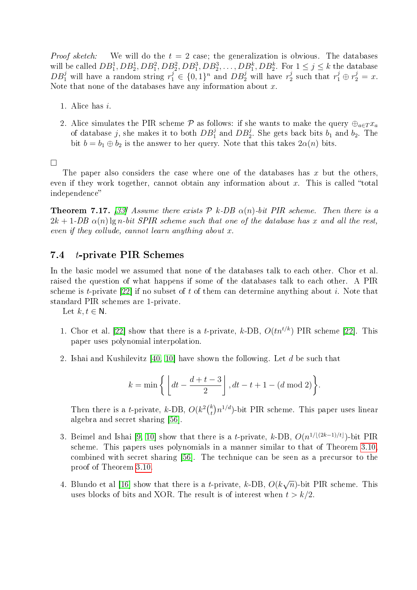*Proof sketch:* We will do the  $t = 2$  case; the generalization is obvious. The databases will be called  $DB_1^1, DB_2^1, DB_1^2, DB_2^2, DB_1^3, DB_2^3, \ldots, DB_1^k, DB_2^k$ . For  $1 \le j \le k$  the database  $DB_1^j$  will have a random string  $r_1^j \in \{0,1\}^n$  and  $DB_2^j$  will have  $r_2^j$  $x_2^j$  such that  $r_1^j \oplus r_2^j = x$ . Note that none of the databases have any information about  $x$ .

- 1. Alice has i.
- 2. Alice simulates the PIR scheme  $\mathcal P$  as follows: if she wants to make the query  $\bigoplus_{a\in T} x_a$ of database j, she makes it to both  $DB_1^j$  and  $DB_2^j$ . She gets back bits  $b_1$  and  $b_2$ . The bit  $b = b_1 \oplus b_2$  is the answer to her query. Note that this takes  $2\alpha(n)$  bits.

 $\Box$ 

The paper also considers the case where one of the databases has  $x$  but the others, even if they work together, cannot obtain any information about x. This is called "total" independence

**Theorem 7.17.** [\[33\]](#page-29-15) Assume there exists  $P$  k-DB  $\alpha(n)$ -bit PIR scheme. Then there is a  $2k + 1$ -DB  $\alpha(n)$  lg n-bit SPIR scheme such that one of the database has x and all the rest, even if they collude, cannot learn anything about x.

#### <span id="page-21-0"></span>7.4 t-private PIR Schemes

In the basic model we assumed that none of the databases talk to each other. Chor et al. raised the question of what happens if some of the databases talk to each other. A PIR scheme is t-private [\[22\]](#page-28-3) if no subset of t of them can determine anything about i. Note that standard PIR schemes are 1-private.

Let  $k, t \in \mathbb{N}$ .

- 1. Chor et al. [\[22\]](#page-28-3) show that there is a *t*-private, *k*-DB,  $O(tn^{t/k})$  PIR scheme [22]. This paper uses polynomial interpolation.
- 2. Ishai and Kushilevitz [\[40,](#page-29-0) [10\]](#page-27-4) have shown the following. Let d be such that

$$
k = \min\left\{ \left\lfloor dt - \frac{d+t-3}{2} \right\rfloor, dt - t + 1 - (d \bmod 2) \right\}.
$$

Then there is a *t*-private, *k*-DB,  $O(k^2 {k \choose k}$  $\binom{k}{t} n^{1/d}$ )-bit PIR scheme. This paper uses linear algebra and secret sharing [\[56\]](#page-30-6).

- 3. Beimel and Ishai [\[9,](#page-27-9) [10\]](#page-27-4) show that there is a *t*-private, k-DB,  $O(n^{1/(2k-1)/t})$ -bit PIR scheme. This papers uses polynomials in a manner similar to that of Theorem [3.10,](#page-9-0) combined with secret sharing [\[56\]](#page-30-6). The technique can be seen as a precursor to the proof of Theorem [3.10.](#page-9-0)
- 4. Blundo et al [\[16\]](#page-28-15) show that there is a *t*-private,  $k$ -DB,  $O(k)$ √  $\overline{n}$ )-bit PIR scheme. This uses blocks of bits and XOR. The result is of interest when  $t > k/2$ .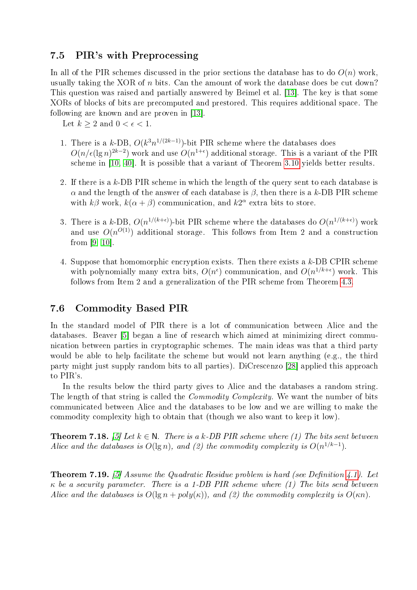### 7.5 PIR's with Preprocessing

In all of the PIR schemes discussed in the prior sections the database has to do  $O(n)$  work, usually taking the XOR of  $n$  bits. Can the amount of work the database does be cut down? This question was raised and partially answered by Beimel et al. [\[13\]](#page-27-10). The key is that some XORs of blocks of bits are precomputed and prestored. This requires additional space. The following are known and are proven in [\[13\]](#page-27-10).

Let  $k > 2$  and  $0 < \epsilon < 1$ .

- 1. There is a k-DB,  $O(k^3n^{1/(2k-1)})$ -bit PIR scheme where the databases does  $O(n/\epsilon(\lg n)^{2k-2})$  work and use  $O(n^{1+\epsilon})$  additional storage. This is a variant of the PIR scheme in [\[10,](#page-27-4) [40\]](#page-29-0). It is possible that a variant of Theorem [3.10](#page-9-0) yields better results.
- 2. If there is a k-DB PIR scheme in which the length of the query sent to each database is  $\alpha$  and the length of the answer of each database is  $\beta$ , then there is a k-DB PIR scheme with  $k\beta$  work,  $k(\alpha + \beta)$  communication, and  $k2^{\alpha}$  extra bits to store.
- 3. There is a k-DB,  $O(n^{1/(k+\epsilon)})$ -bit PIR scheme where the databases do  $O(n^{1/(k+\epsilon)})$  work and use  $O(n^{O(1)})$  additional storage. This follows from Item 2 and a construction from [\[9,](#page-27-9) [10\]](#page-27-4).
- 4. Suppose that homomorphic encryption exists. Then there exists a k-DB CPIR scheme with polynomially many extra bits,  $O(n^{\epsilon})$  communication, and  $O(n^{1/k+\epsilon})$  work. This follows from Item 2 and a generalization of the PIR scheme from Theorem [4.3.](#page-10-2)

### 7.6 Commodity Based PIR

In the standard model of PIR there is a lot of communication between Alice and the databases. Beaver [\[5\]](#page-27-11) began a line of research which aimed at minimizing direct communication between parties in cryptographic schemes. The main ideas was that a third party would be able to help facilitate the scheme but would not learn anything (e.g., the third party might just supply random bits to all parties). DiCrescenzo [\[28\]](#page-28-16) applied this approach to PIR's.

In the results below the third party gives to Alice and the databases a random string. The length of that string is called the *Commodity Complexity*. We want the number of bits communicated between Alice and the databases to be low and we are willing to make the commodity complexity high to obtain that (though we also want to keep it low).

**Theorem 7.18.** [\[5\]](#page-27-11) Let  $k \in \mathbb{N}$ . There is a k-DB PIR scheme where (1) The bits sent between Alice and the databases is  $O(\lg n)$ , and (2) the commodity complexity is  $O(n^{1/k-1})$ .

**Theorem 7.19.** [\[5\]](#page-27-11) Assume the Quadratic Residue problem is hard (see Definition [4.1\)](#page-10-0). Let  $\kappa$  be a security parameter. There is a 1-DB PIR scheme where (1) The bits send between Alice and the databases is  $O(\lg n + \text{poly}(\kappa))$ , and (2) the commodity complexity is  $O(\kappa n)$ .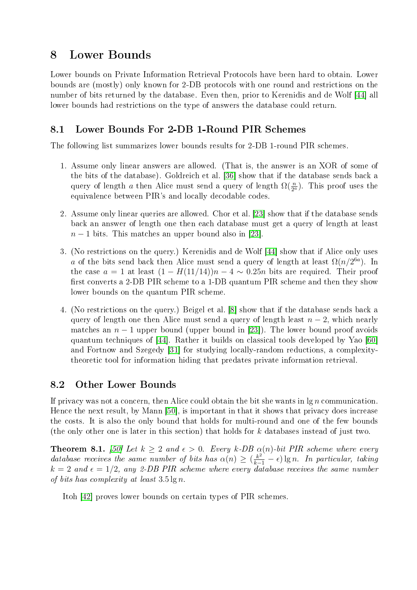# <span id="page-23-0"></span>8 Lower Bounds

Lower bounds on Private Information Retrieval Protocols have been hard to obtain. Lower bounds are (mostly) only known for 2-DB protocols with one round and restrictions on the number of bits returned by the database. Even then, prior to Kerenidis and de Wolf [\[44\]](#page-29-4) all lower bounds had restrictions on the type of answers the database could return.

## 8.1 Lower Bounds For 2-DB 1-Round PIR Schemes

The following list summarizes lower bounds results for 2-DB 1-round PIR schemes.

- 1. Assume only linear answers are allowed. (That is, the answer is an XOR of some of the bits of the database). Goldreich et al. [\[36\]](#page-29-16) show that if the database sends back a query of length a then Alice must send a query of length  $\Omega(\frac{n}{2^a})$ . This proof uses the equivalence between PIR's and locally decodable codes.
- 2. Assume only linear queries are allowed. Chor et al. [\[23\]](#page-28-2) show that if the database sends back an answer of length one then each database must get a query of length at least  $n-1$  bits. This matches an upper bound also in [\[23\]](#page-28-2).
- 3. (No restrictions on the query.) Kerenidis and de Wolf [\[44\]](#page-29-4) show that if Alice only uses a of the bits send back then Alice must send a query of length at least  $\Omega(n/2^{6a})$ . In the case  $a = 1$  at least  $(1 - H(11/14))n - 4 \sim 0.25n$  bits are required. Their proof first converts a 2-DB PIR scheme to a 1-DB quantum PIR scheme and then they show lower bounds on the quantum PIR scheme.
- 4. (No restrictions on the query.) Beigel et al. [\[8\]](#page-27-12) show that if the database sends back a query of length one then Alice must send a query of length least  $n-2$ , which nearly matches an  $n-1$  upper bound (upper bound in [\[23\]](#page-28-2)). The lower bound proof avoids quantum techniques of [\[44\]](#page-29-4). Rather it builds on classical tools developed by Yao [\[60\]](#page-30-10) and Fortnow and Szegedy [\[31\]](#page-28-17) for studying locally-random reductions, a complexitytheoretic tool for information hiding that predates private information retrieval.

## 8.2 Other Lower Bounds

If privacy was not a concern, then Alice could obtain the bit she wants in  $\lg n$  communication. Hence the next result, by Mann [\[50\]](#page-30-4), is important in that it shows that privacy does increase the costs. It is also the only bound that holds for multi-round and one of the few bounds (the only other one is later in this section) that holds for k databases instead of just two.

**Theorem 8.1.** [\[50\]](#page-30-4) Let  $k \geq 2$  and  $\epsilon > 0$ . Every k-DB  $\alpha(n)$ -bit PIR scheme where every database receives the same number of bits has  $\alpha(n) \geq (\frac{k^2}{k-1} - \epsilon) \lg n$ . In particular, taking  $k = 2$  and  $\epsilon = 1/2$ , any 2-DB PIR scheme where every database receives the same number of bits has complexity at least  $3.5 \lg n$ .

Itoh [\[42\]](#page-29-13) proves lower bounds on certain types of PIR schemes.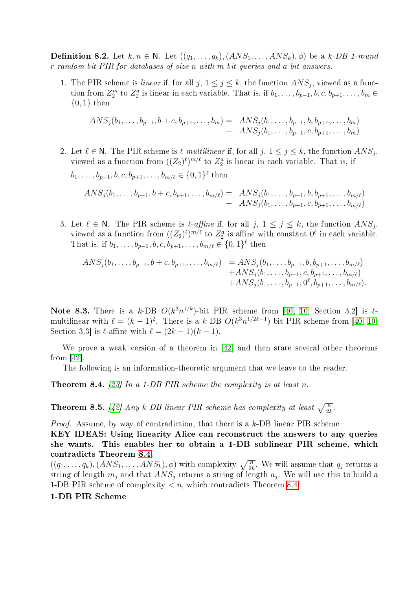**Definition 8.2.** Let  $k, n \in \mathbb{N}$ . Let  $((q_1, \ldots, q_k), (ANS_1, \ldots, ANS_k), \phi)$  be a k-DB 1-round r-random bit PIR for databases of size n with m-bit queries and a-bit answers.

1. The PIR scheme is *linear* if, for all  $j, 1 \leq j \leq k$ , the function  $ANS_j$ , viewed as a function from  $Z_2^m$  to  $Z_2^a$  is linear in each variable. That is, if  $b_1, \ldots, b_{p-1}, b, c, b_{p+1}, \ldots, b_m \in$  $\{0,1\}$  then

$$
ANS_j(b_1, \ldots, b_{p-1}, b+c, b_{p+1}, \ldots, b_m) = ANS_j(b_1, \ldots, b_{p-1}, b, b_{p+1}, \ldots, b_m) + ANS_j(b_1, \ldots, b_{p-1}, c, b_{p+1}, \ldots, b_m)
$$

- 2. Let  $\ell \in \mathbb{N}$ . The PIR scheme is  $\ell$ -multilinear if, for all  $j, 1 \leq j \leq k$ , the function  $ANS_j$ , viewed as a function from  $((Z_2)^{\ell})^{m/\ell}$  to  $Z_2^a$  is linear in each variable. That is, if  $b_1, \ldots, b_{p-1}, b, c, b_{p+1}, \ldots, b_{m/\ell} \in \{0, 1\}^{\ell}$  then  $ANS_j (b_1, \ldots, b_{p-1}, b+c, b_{p+1}, \ldots, b_{m/\ell}) = \ ANS_j (b_1, \ldots, b_{p-1}, b, b_{p+1}, \ldots, b_{m/\ell})$  $+$   $ANS_j(b_1, \ldots, b_{p-1}, c, b_{p+1}, \ldots, b_{m/\ell})$
- 3. Let  $\ell \in \mathbb{N}$ . The PIR scheme is  $\ell$ -affine if, for all  $j, 1 \le j \le k$ , the function  $ANS_j$ , viewed as a function from  $((Z_2)^{\ell})^{m/\ell}$  to  $Z_2^a$  is affine with constant  $0^{\ell}$  in each variable. That is, if  $b_1, \ldots, b_{p-1}, b, c, b_{p+1}, \ldots, b_{m/\ell} \in \{0, 1\}^{\ell}$  then

$$
ANS_j(b_1, \ldots, b_{p-1}, b+c, b_{p+1}, \ldots, b_{m/\ell}) = ANS_j(b_1, \ldots, b_{p-1}, b, b_{p+1}, \ldots, b_{m/\ell}) + ANS_j(b_1, \ldots, b_{p-1}, c, b_{p+1}, \ldots, b_{m/\ell}) + ANS_j(b_1, \ldots, b_{p-1}, 0^{\ell}, b_{p+1}, \ldots, b_{m/\ell}).
$$

Note 8.3. There is a k-DB  $O(k^3n^{1/k})$ -bit PIR scheme from [\[40,](#page-29-0) [10,](#page-27-4) Section 3.2] is  $\ell$ multilinear with  $\ell = (k-1)^2$ . There is a k-DB  $O(k^3n^{1/2k-1})$ -bit PIR scheme from [\[40,](#page-29-0) [10,](#page-27-4) Section 3.3] is  $\ell$ -affine with  $\ell = (2k - 1)(k - 1)$ .

We prove a weak version of a theorem in [\[42\]](#page-29-13) and then state several other theorems from [\[42\]](#page-29-13).

The following is an information-theoretic argument that we leave to the reader.

<span id="page-24-0"></span>**Theorem 8.4.** [\[23\]](#page-28-2) In a 1-DB PIR scheme the complexity is at least n.

<span id="page-24-1"></span>**Theorem 8.5.** [\[42\]](#page-29-13) Any k-DB linear PIR scheme has complexity at least  $\sqrt{\frac{n}{2k}}$ .

Proof. Assume, by way of contradiction, that there is a k-DB linear PIR scheme

KEY IDEAS: Using linearity Alice can reconstruct the answers to any queries she wants. This enables her to obtain a 1-DB sublinear PIR scheme, which contradicts Theorem [8.4.](#page-24-0)

 $((q_1, \ldots, q_k), (ANS_1, \ldots, ANS_k), \phi)$  with complexity  $\sqrt{\frac{n}{2k}}$ . We will assume that  $q_j$  returns a string of length  $m_j$  and that  $ANS_j$  returns a string of length  $a_j$ . We will use this to build a 1-DB PIR scheme of complexity  $\langle n, \text{ which contradicts Theorem 8.4.}$  $\langle n, \text{ which contradicts Theorem 8.4.}$  $\langle n, \text{ which contradicts Theorem 8.4.}$ 

#### 1-DB PIR Scheme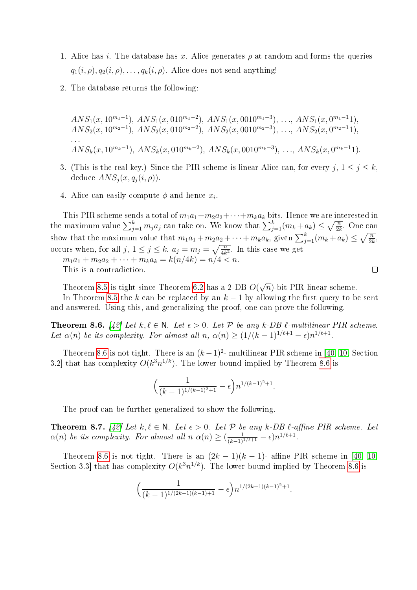- 1. Alice has i. The database has x. Alice generates  $\rho$  at random and forms the queries  $q_1(i, \rho), q_2(i, \rho), \ldots, q_k(i, \rho)$ . Alice does not send anything!
- 2. The database returns the following:

 $ANS_1(x, 10^{m_1-1}), ANS_1(x, 010^{m_1-2}), ANS_1(x, 0010^{m_1-3}), \ldots, ANS_1(x, 0^{m_1-1}1),$  $ANS_2(x, 10^{m_2-1}), ANS_2(x, 010^{m_2-2}), ANS_2(x, 0010^{m_2-3}), \ldots, ANS_2(x, 0^{m_2-1}1),$ . . .  $ANS_k(x, 10^{m_k-1}), ANS_k(x, 010^{m_k-2}), ANS_k(x, 0010^{m_k-3}), \ldots, ANS_k(x, 0^{m_k-1}1).$ 

- 3. (This is the real key.) Since the PIR scheme is linear Alice can, for every  $j, 1 \leq j \leq k$ , deduce  $ANS<sub>j</sub>(x, q<sub>j</sub>(i, \rho)).$
- 4. Alice can easily compute  $\phi$  and hence  $x_i$ .

This PIR scheme sends a total of  $m_1a_1+m_2a_2+\cdots+m_ka_k$  bits. Hence we are interested in the maximum value  $\sum_{j=1}^{k} m_j a_j$  can take on. We know that  $\sum_{j=1}^{k} (m_k + a_k) \leq \sqrt{\frac{n}{2k}}$ . One can show that the maximum value that  $m_1a_1 + m_2a_2 + \cdots + m_ka_k$ , given  $\sum_{j=1}^k (m_k + a_k) \leq \sqrt{\frac{n}{2k}}$ , occurs when, for all  $j, 1 \leq j \leq k, a_j = m_j = \sqrt{\frac{n}{4k^2}}$ . In this case we get  $m_1a_1 + m_2a_2 + \cdots + m_ka_k = k(n/4k) = n/4 < n$ .  $\Box$ 

This is a contradiction.

Theorem [8.5](#page-24-1) is tight since Theorem [6.2](#page-16-1) has a 2-DB O( √  $\widehat{n}$ )-bit PIR linear scheme.

In Theorem [8.5](#page-24-1) the k can be replaced by an  $k-1$  by allowing the first query to be sent and answered. Using this, and generalizing the proof, one can prove the following.

<span id="page-25-0"></span>**Theorem 8.6.** [\[42\]](#page-29-13) Let  $k, \ell \in \mathbb{N}$ . Let  $\epsilon > 0$ . Let  $\mathcal{P}$  be any k-DB  $\ell$ -multilinear PIR scheme. Let  $\alpha(n)$  be its complexity. For almost all  $n, \alpha(n) \geq (1/(k-1)^{1/\ell+1} - \epsilon)n^{1/\ell+1}$ .

Theorem [8.6](#page-25-0) is not tight. There is an  $(k-1)^2$ - multilinear PIR scheme in [\[40,](#page-29-0) [10,](#page-27-4) Section 3.2 that has complexity  $O(k^3n^{1/k})$ . The lower bound implied by Theorem [8.6](#page-25-0) is

$$
\Big(\frac{1}{(k-1)^{1/(k-1)^2+1}}-\epsilon\Big)n^{1/(k-1)^2+1}.
$$

The proof can be further generalized to show the following.

**Theorem 8.7.** [\[42\]](#page-29-13) Let  $k, \ell \in \mathbb{N}$ . Let  $\epsilon > 0$ . Let  $\mathcal{P}$  be any k-DB  $\ell$ -affine PIR scheme. Let  $\alpha(n)$  be its complexity. For almost all  $n \alpha(n) \geq (\frac{1}{(k-1)^{1/\ell+1}} - \epsilon)n^{1/\ell+1}$ .

Theorem [8.6](#page-25-0) is not tight. There is an  $(2k-1)(k-1)$ - affine PIR scheme in [\[40,](#page-29-0) [10,](#page-27-4) Section 3.3 that has complexity  $O(k^3 n^{1/k})$ . The lower bound implied by Theorem [8.6](#page-25-0) is

$$
\left(\frac{1}{(k-1)^{1/(2k-1)(k-1)+1}} - \epsilon\right) n^{1/(2k-1)(k-1)^2+1}.
$$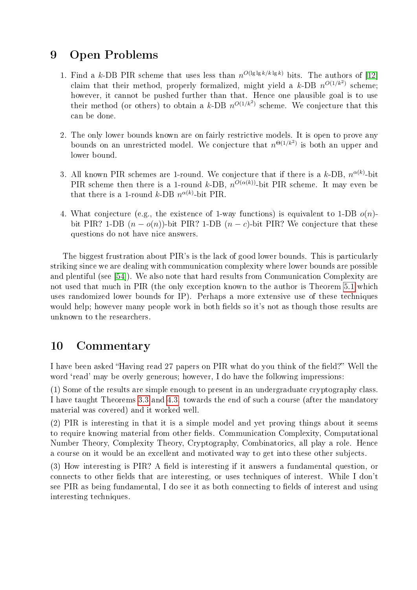# 9 Open Problems

- 1. Find a k-DB PIR scheme that uses less than  $n^{O(\lg \lg k / k \lg k)}$  bits. The authors of [\[12\]](#page-27-5) claim that their method, properly formalized, might yield a k-DB  $n^{O(1/k^2)}$  scheme; however, it cannot be pushed further than that. Hence one plausible goal is to use their method (or others) to obtain a k-DB  $n^{O(1/k^2)}$  scheme. We conjecture that this can be done.
- 2. The only lower bounds known are on fairly restrictive models. It is open to prove any bounds on an unrestricted model. We conjecture that  $n^{\Theta(1/k^2)}$  is both an upper and lower bound.
- 3. All known PIR schemes are 1-round. We conjecture that if there is a k-DB,  $n^{\alpha(k)}$ -bit PIR scheme then there is a 1-round k-DB,  $n^{O(\alpha(k))}$ -bit PIR scheme. It may even be that there is a 1-round k-DB  $n^{\alpha(k)}$ -bit PIR.
- 4. What conjecture (e.g., the existence of 1-way functions) is equivalent to 1-DB  $o(n)$ bit PIR? 1-DB  $(n - o(n))$ -bit PIR? 1-DB  $(n - c)$ -bit PIR? We conjecture that these questions do not have nice answers.

The biggest frustration about PIR's is the lack of good lower bounds. This is particularly striking since we are dealing with communication complexity where lower bounds are possible and plentiful (see [\[54\]](#page-30-11)). We also note that hard results from Communication Complexity are not used that much in PIR (the only exception known to the author is Theorem [5.1](#page-13-0) which uses randomized lower bounds for IP). Perhaps a more extensive use of these techniques would help; however many people work in both fields so it's not as though those results are unknown to the researchers.

# 10 Commentary

I have been asked "Having read 27 papers on PIR what do you think of the field?" Well the word 'read' may be overly generous; however, I do have the following impressions:

(1) Some of the results are simple enough to present in an undergraduate cryptography class. I have taught Theorems [3.3](#page-4-0) and [4.3.](#page-10-2) towards the end of such a course (after the mandatory material was covered) and it worked well.

(2) PIR is interesting in that it is a simple model and yet proving things about it seems to require knowing material from other fields. Communication Complexity, Computational Number Theory, Complexity Theory, Cryptography, Combinatorics, all play a role. Hence a course on it would be an excellent and motivated way to get into these other subjects.

(3) How interesting is PIR? A field is interesting if it answers a fundamental question, or connects to other fields that are interesting, or uses techniques of interest. While I don't see PIR as being fundamental, I do see it as both connecting to fields of interest and using interesting techniques.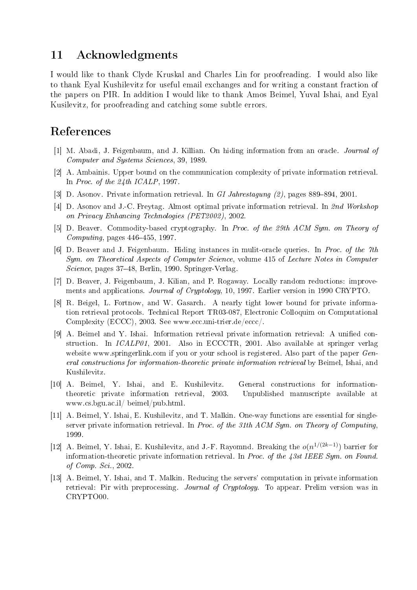## 11 Acknowledgments

I would like to thank Clyde Kruskal and Charles Lin for proofreading. I would also like to thank Eyal Kushilevitz for useful email exchanges and for writing a constant fraction of the papers on PIR. In addition I would like to thank Amos Beimel, Yuval Ishai, and Eyal Kusilevitz, for proofreading and catching some subtle errors.

# References

- <span id="page-27-0"></span>[1] M. Abadi, J. Feigenbaum, and J. Killian. On hiding information from an oracle. Journal of Computer and Systems Sciences, 39, 1989.
- <span id="page-27-3"></span>[2] A. Ambainis. Upper bound on the communication complexity of private information retrieval. In Proc. of the 24th ICALP, 1997.
- <span id="page-27-7"></span>[3] D. Asonov. Private information retrieval. In GI Jahrestagung  $(2)$ , pages 889–894, 2001.
- <span id="page-27-8"></span>[4] D. Asonov and J.-C. Freytag. Almost optimal private information retrieval. In 2nd Workshop on Privacy Enhancing Technologies (PET2002), 2002.
- <span id="page-27-11"></span>[5] D. Beaver. Commodity-based cryptography. In Proc. of the 29th ACM Sym. on Theory of Computing, pages  $446-455$ , 1997.
- <span id="page-27-2"></span>[6] D. Beaver and J. Feigenbaum. Hiding instances in mulit-oracle queries. In Proc. of the 7th Sym. on Theoretical Aspects of Computer Science, volume 415 of Lecture Notes in Computer Science, pages 3748, Berlin, 1990. Springer-Verlag.
- <span id="page-27-1"></span>[7] D. Beaver, J. Feigenbaum, J. Kilian, and P. Rogaway. Locally random reductions: improvements and applications. Journal of Cryptology, 10, 1997. Earlier version in 1990 CRYPTO.
- <span id="page-27-12"></span>[8] R. Beigel, L. Fortnow, and W. Gasarch. A nearly tight lower bound for private information retrieval protocols. Technical Report TR03-087, Electronic Colloquim on Computational Complexity (ECCC), 2003. See www.ecc.uni-trier.de/eccc/.
- <span id="page-27-9"></span>[9] A. Beimel and Y. Ishai. Information retrieval private information retrieval: A unified construction. In ICALP01, 2001. Also in ECCCTR, 2001. Also available at springer verlag website www.springerlink.com if you or your school is registered. Also part of the paper General constructions for information-theoretic private information retrieval by Beimel, Ishai, and Kushilevitz.
- <span id="page-27-4"></span>[10] A. Beimel, Y. Ishai, and E. Kushilevitz. General constructions for informationtheoretic private information retrieval, 2003. Unpublished manuscripte available at www.cs.bgu.ac.il/ beimel/pub.html.
- <span id="page-27-6"></span>[11] A. Beimel, Y. Ishai, E. Kushilevitz, and T. Malkin. One-way functions are essential for singleserver private information retrieval. In Proc. of the 31th ACM Sym. on Theory of Computing, 1999.
- <span id="page-27-5"></span>[12] A. Beimel, Y. Ishai, E. Kushilevitz, and J.-F. Rayomnd. Breaking the  $o(n^{1/(2k-1)})$  barrier for information-theoretic private information retrieval. In Proc. of the  $\angle 3st$  IEEE Sym. on Found. of Comp. Sci., 2002.
- <span id="page-27-10"></span>[13] A. Beimel, Y. Ishai, and T. Malkin. Reducing the servers' computation in private information retrieval: Pir with preprocessing. Journal of Cryptology. To appear. Prelim version was in CRYPTO00.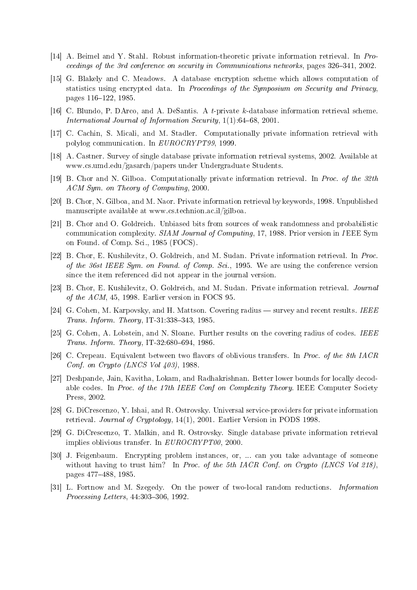- <span id="page-28-14"></span>[14] A. Beimel and Y. Stahl. Robust information-theoretic private information retrieval. In Proceedings of the 3rd conference on security in Communications networks, pages 326-341, 2002.
- <span id="page-28-0"></span>[15] G. Blakely and C. Meadows. A database encryption scheme which allows computation of statistics using encrypted data. In Proceedings of the Symposium on Security and Privacy, pages 116-122, 1985.
- <span id="page-28-15"></span>[16] C. Blundo, P. DArco, and A. DeSantis. A t-private k-database information retrieval scheme. International Journal of Information Security,  $1(1)$ :64-68, 2001.
- <span id="page-28-5"></span>[17] C. Cachin, S. Micali, and M. Stadler. Computationally private information retrieval with polylog communication. In EUROCRYPT99, 1999.
- <span id="page-28-7"></span>[18] A. Castner. Survey of single database private information retrieval systems, 2002. Available at www.cs.umd.edu/˜gasarch/papers under Undergraduate Students.
- <span id="page-28-4"></span>[19] B. Chor and N. Gilboa. Computationally private information retrieval. In Proc. of the 32th ACM Sym. on Theory of Computing, 2000.
- <span id="page-28-13"></span>[20] B. Chor, N. Gilboa, and M. Naor. Private information retrieval by keywords, 1998. Unpublished manuscripte available at www.cs.technion.ac.il/gilboa.
- <span id="page-28-11"></span>[21] B. Chor and O. Goldreich. Unbiased bits from sources of weak randomness and probabilistic communication complexity. SIAM Journal of Computing, 17, 1988. Prior version in IEEE Sym on Found. of Comp. Sci., 1985 (FOCS).
- <span id="page-28-3"></span>[22] B. Chor, E. Kushilevitz, O. Goldreich, and M. Sudan. Private information retrieval. In Proc. of the 36st IEEE Sym. on Found. of Comp. Sci., 1995. We are using the conference version since the item referenced did not appear in the journal version.
- <span id="page-28-2"></span>[23] B. Chor, E. Kushilevitz, O. Goldreich, and M. Sudan. Private information retrieval. Journal of the ACM, 45, 1998. Earlier version in FOCS 95.
- <span id="page-28-9"></span>[24] G. Cohen, M. Karpovsky, and H. Mattson. Covering radius  $-$  survey and recent results. IEEE Trans. Inform. Theory, IT-31:338-343, 1985.
- <span id="page-28-10"></span>[25] G. Cohen, A. Lobstein, and N. Sloane. Further results on the covering radius of codes. IEEE Trans. Inform. Theory,  $IT-32:680-694$ , 1986.
- <span id="page-28-12"></span>[26] C. Crepeau. Equivalent between two flavors of oblivious transfers. In Proc. of the 8th IACR Conf. on Crypto (LNCS Vol 403), 1988.
- <span id="page-28-8"></span>[27] Deshpande, Jain, Kavitha, Lokam, and Radhakrishnan. Better lower bounds for locally decodable codes. In Proc. of the 17th IEEE Conf on Complexity Theory. IEEE Computer Society Press, 2002.
- <span id="page-28-16"></span>[28] G. DiCrescenzo, Y. Ishai, and R. Ostrovsky. Universal service-providers for private information retrieval. Journal of Cryptology, 14(1), 2001. Earlier Version in PODS 1998.
- <span id="page-28-6"></span>[29] G. DiCrescenzo, T. Malkin, and R. Ostrovsky. Single database private information retrieval implies oblivious transfer. In EUROCRYPT00, 2000.
- <span id="page-28-1"></span>[30] J. Feigenbaum. Encrypting problem instances, or, ... can you take advantage of someone without having to trust him? In Proc. of the 5th IACR Conf. on Crypto (LNCS Vol 218), pages 477488, 1985.
- <span id="page-28-17"></span>[31] L. Fortnow and M. Szegedy. On the power of two-local random reductions. Information Processing Letters,  $44.303-306$ , 1992.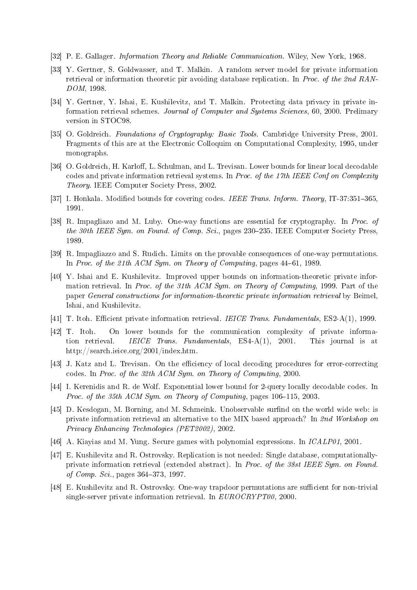- <span id="page-29-8"></span>[32] P. E. Gallager. Information Theory and Reliable Communication. Wiley, New York, 1968.
- <span id="page-29-15"></span>[33] Y. Gertner, S. Goldwasser, and T. Malkin. A random server model for private information retrieval or information theoretic pir avoiding database replication. In Proc. of the 2nd RAN-DOM, 1998.
- <span id="page-29-14"></span>[34] Y. Gertner, Y. Ishai, E. Kushilevitz, and T. Malkin. Protecting data privacy in private information retrieval schemes. Journal of Computer and Systems Sciences, 60, 2000. Prelimary version in STOC98.
- <span id="page-29-10"></span>[35] O. Goldreich. Foundations of Cryptography: Basic Tools. Cambridge University Press, 2001. Fragments of this are at the Electronic Colloquim on Computational Complexity, 1995, under monographs.
- <span id="page-29-16"></span>[36] O. Goldreich, H. Karloff, L. Schulman, and L. Trevisan. Lower bounds for linear local decodable codes and private information retrieval systems. In Proc. of the 17th IEEE Conf on Complexity Theory. IEEE Computer Society Press, 2002.
- <span id="page-29-7"></span>[37] I. Honkala. Modified bounds for covering codes. IEEE Trans. Inform. Theory, IT-37:351-365, 1991.
- <span id="page-29-11"></span>[38] R. Impagliazo and M. Luby. One-way functions are essential for cryptography. In Proc. of the 30th IEEE Sym. on Found. of Comp. Sci., pages  $230-235$ . IEEE Computer Society Press, 1989.
- <span id="page-29-12"></span>[39] R. Impagliazzo and S. Rudich. Limits on the provable consequences of one-way permutations. In Proc. of the 21th ACM Sym. on Theory of Computing, pages 44-61, 1989.
- <span id="page-29-0"></span>[40] Y. Ishai and E. Kushilevitz. Improved upper bounds on information-theoretic private information retrieval. In Proc. of the 31th ACM Sym. on Theory of Computing, 1999. Part of the paper General constructions for information-theoretic private information retrieval by Beimel, Ishai, and Kushilevitz.
- <span id="page-29-6"></span>[41] T. Itoh. Efficient private information retrieval. *IEICE Trans. Fundamentals*, ES2-A(1), 1999.
- <span id="page-29-13"></span>[42] T. Itoh. On lower bounds for the communication complexity of private information retrieval. IEICE Trans. Fundamentals, ES4-A(1), 2001. This journal is at http://search.ieice.org/2001/index.htm.
- <span id="page-29-3"></span>[43] J. Katz and L. Trevisan. On the efficiency of local decoding procedures for error-correcting codes. In Proc. of the 32th ACM Sym. on Theory of Computing, 2000.
- <span id="page-29-4"></span>[44] I. Kerenidis and R. de Wolf. Exponential lower bound for 2-query locally decodable codes. In Proc. of the 35th ACM Sym. on Theory of Computing, pages  $106-115$ , 2003.
- <span id="page-29-5"></span>[45] D. Kesdogan, M. Borning, and M. Schmeink. Unobservable surfind on the world wide web: is private information retrieval an alternative to the MIX based approach? In 2nd Workshop on Privacy Enhancing Technologies (PET2002), 2002.
- <span id="page-29-9"></span>[46] A. Kiayias and M. Yung. Secure games with polynomial expressions. In ICALP01, 2001.
- <span id="page-29-1"></span>[47] E. Kushilevitz and R. Ostrovsky. Replication is not needed: Single database, computationallyprivate information retrieval (extended abstract). In Proc. of the 38st IEEE Sym. on Found. of Comp. Sci., pages 364-373, 1997.
- <span id="page-29-2"></span>[48] E. Kushilevitz and R. Ostrovsky. One-way trapdoor permutations are sufficient for non-trivial single-server private information retrieval. In EUROCRYPT00, 2000.